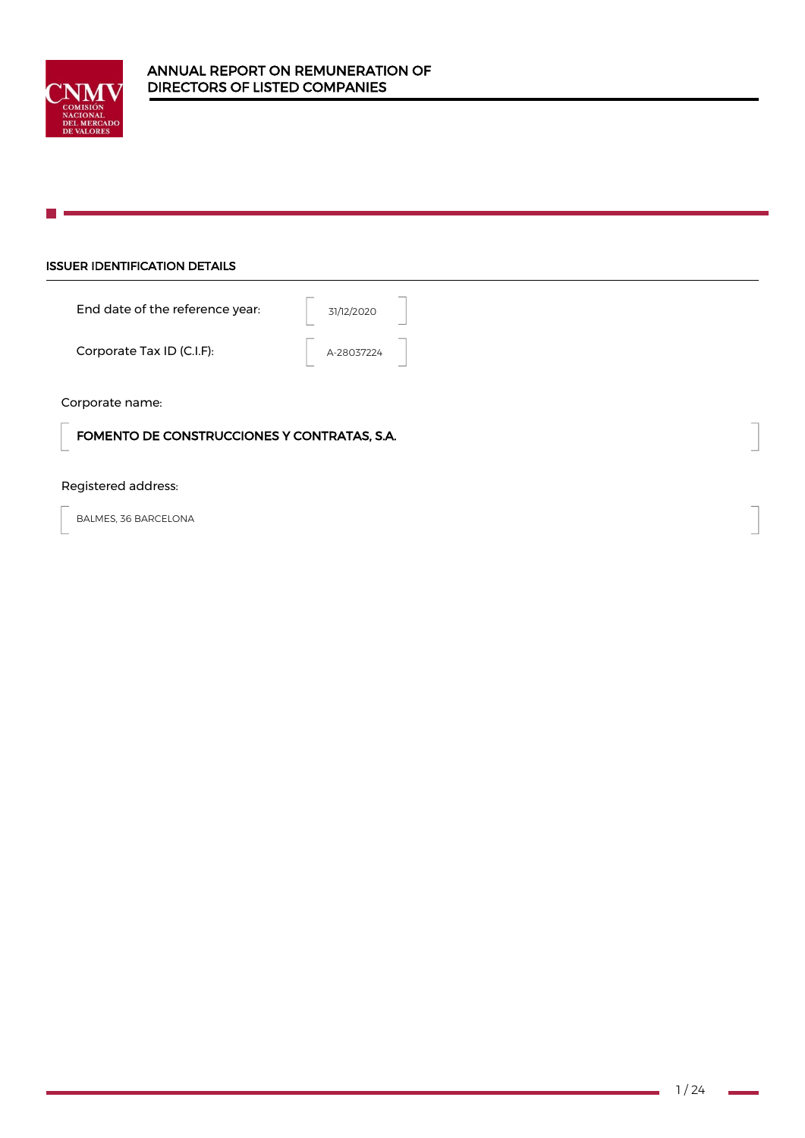

## ISSUER IDENTIFICATION DETAILS

| End date of the reference year: | 31/12/2020 |
|---------------------------------|------------|
| Corporate Tax ID (C.I.F):       | A-28037224 |

Corporate name:

FOMENTO DE CONSTRUCCIONES Y CONTRATAS, S.A.

## Registered address:

BALMES, 36 BARCELONA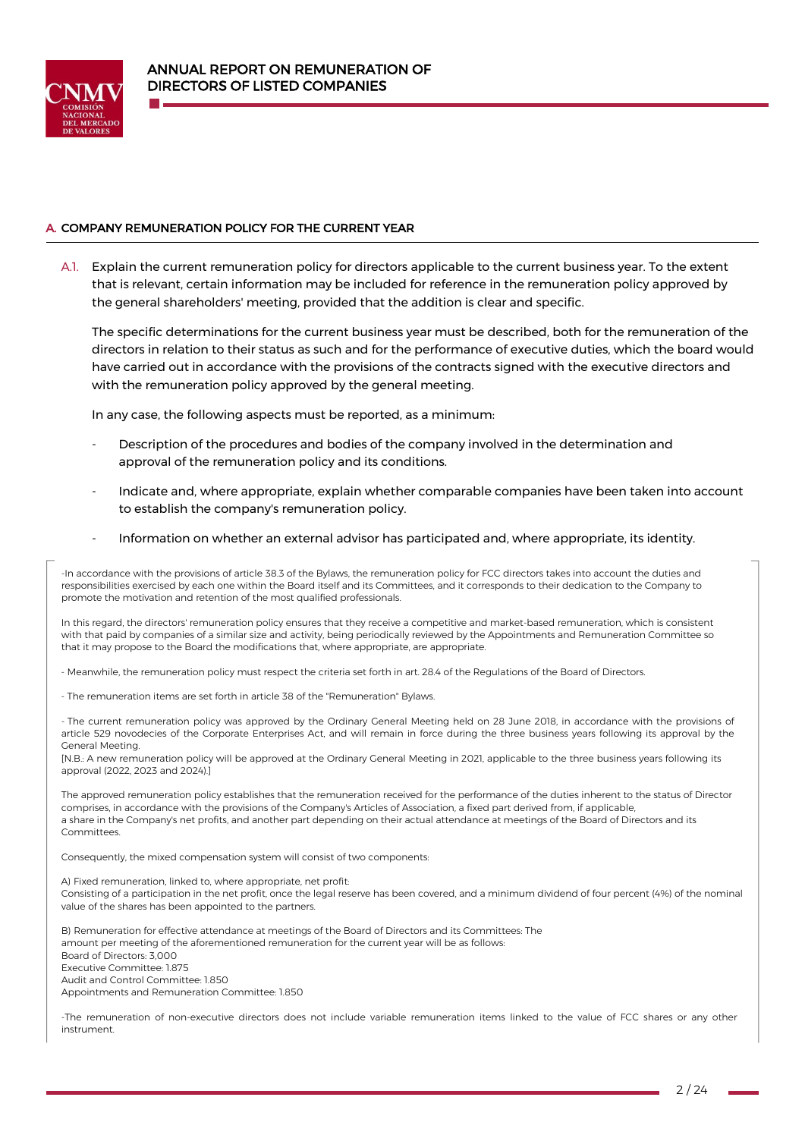

## A. COMPANY REMUNERATION POLICY FOR THE CURRENT YEAR

A.1. Explain the current remuneration policy for directors applicable to the current business year. To the extent that is relevant, certain information may be included for reference in the remuneration policy approved by the general shareholders' meeting, provided that the addition is clear and specific.

The specific determinations for the current business year must be described, both for the remuneration of the directors in relation to their status as such and for the performance of executive duties, which the board would have carried out in accordance with the provisions of the contracts signed with the executive directors and with the remuneration policy approved by the general meeting.

In any case, the following aspects must be reported, as a minimum:

- Description of the procedures and bodies of the company involved in the determination and approval of the remuneration policy and its conditions.
- Indicate and, where appropriate, explain whether comparable companies have been taken into account to establish the company's remuneration policy.
- Information on whether an external advisor has participated and, where appropriate, its identity.

-In accordance with the provisions of article 38.3 of the Bylaws, the remuneration policy for FCC directors takes into account the duties and responsibilities exercised by each one within the Board itself and its Committees, and it corresponds to their dedication to the Company to promote the motivation and retention of the most qualified professionals.

In this regard, the directors' remuneration policy ensures that they receive a competitive and market-based remuneration, which is consistent with that paid by companies of a similar size and activity, being periodically reviewed by the Appointments and Remuneration Committee so that it may propose to the Board the modifications that, where appropriate, are appropriate.

- Meanwhile, the remuneration policy must respect the criteria set forth in art. 28.4 of the Regulations of the Board of Directors.

- The remuneration items are set forth in article 38 of the "Remuneration" Bylaws.

- The current remuneration policy was approved by the Ordinary General Meeting held on 28 June 2018, in accordance with the provisions of article 529 novodecies of the Corporate Enterprises Act, and will remain in force during the three business years following its approval by the General Meeting.

[N.B.: A new remuneration policy will be approved at the Ordinary General Meeting in 2021, applicable to the three business years following its approval (2022, 2023 and 2024).]

The approved remuneration policy establishes that the remuneration received for the performance of the duties inherent to the status of Director comprises, in accordance with the provisions of the Company's Articles of Association, a fixed part derived from, if applicable, a share in the Company's net profits, and another part depending on their actual attendance at meetings of the Board of Directors and its **Committees** 

Consequently, the mixed compensation system will consist of two components:

A) Fixed remuneration, linked to, where appropriate, net profit: Consisting of a participation in the net profit, once the legal reserve has been covered, and a minimum dividend of four percent (4%) of the nominal value of the shares has been appointed to the partners.

B) Remuneration for effective attendance at meetings of the Board of Directors and its Committees: The amount per meeting of the aforementioned remuneration for the current year will be as follows: Board of Directors: 3,000 Executive Committee: 1.875 Audit and Control Committee: 1.850 Appointments and Remuneration Committee: 1.850

-The remuneration of non-executive directors does not include variable remuneration items linked to the value of FCC shares or any other instrument.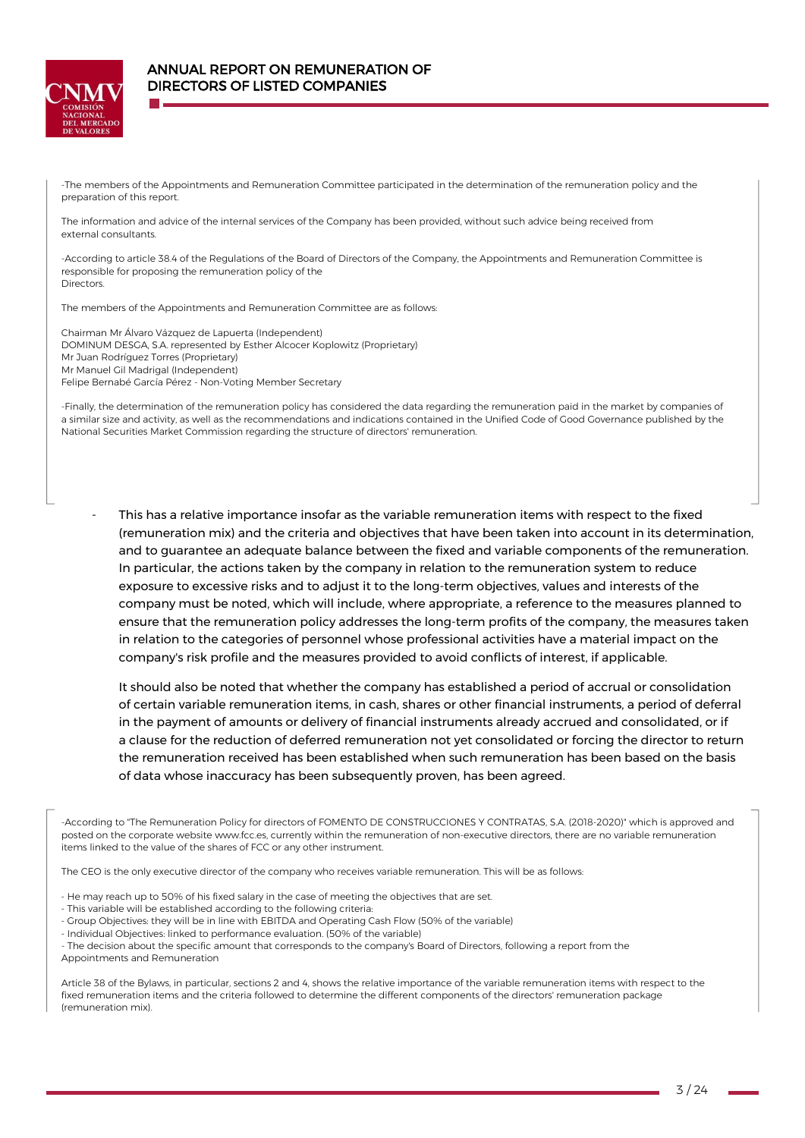

-The members of the Appointments and Remuneration Committee participated in the determination of the remuneration policy and the preparation of this report.

The information and advice of the internal services of the Company has been provided, without such advice being received from external consultants.

-According to article 38.4 of the Regulations of the Board of Directors of the Company, the Appointments and Remuneration Committee is responsible for proposing the remuneration policy of the Directors.

The members of the Appointments and Remuneration Committee are as follows:

Chairman Mr Álvaro Vázquez de Lapuerta (Independent) DOMINUM DESGA, S.A. represented by Esther Alcocer Koplowitz (Proprietary) Mr Juan Rodríguez Torres (Proprietary) Mr Manuel Gil Madrigal (Independent) Felipe Bernabé García Pérez - Non-Voting Member Secretary

-Finally, the determination of the remuneration policy has considered the data regarding the remuneration paid in the market by companies of a similar size and activity, as well as the recommendations and indications contained in the Unified Code of Good Governance published by the National Securities Market Commission regarding the structure of directors' remuneration.

This has a relative importance insofar as the variable remuneration items with respect to the fixed (remuneration mix) and the criteria and objectives that have been taken into account in its determination, and to guarantee an adequate balance between the fixed and variable components of the remuneration. In particular, the actions taken by the company in relation to the remuneration system to reduce exposure to excessive risks and to adjust it to the long-term objectives, values and interests of the company must be noted, which will include, where appropriate, a reference to the measures planned to ensure that the remuneration policy addresses the long-term profits of the company, the measures taken in relation to the categories of personnel whose professional activities have a material impact on the company's risk profile and the measures provided to avoid conflicts of interest, if applicable.

It should also be noted that whether the company has established a period of accrual or consolidation of certain variable remuneration items, in cash, shares or other financial instruments, a period of deferral in the payment of amounts or delivery of financial instruments already accrued and consolidated, or if a clause for the reduction of deferred remuneration not yet consolidated or forcing the director to return the remuneration received has been established when such remuneration has been based on the basis of data whose inaccuracy has been subsequently proven, has been agreed.

-According to "The Remuneration Policy for directors of FOMENTO DE CONSTRUCCIONES Y CONTRATAS, S.A. (2018-2020)" which is approved and posted on the corporate websit[e www.fcc.es,](http://www.fcc.es/) currently within the remuneration of non-executive directors, there are no variable remuneration items linked to the value of the shares of FCC or any other instrument.

The CEO is the only executive director of the company who receives variable remuneration. This will be as follows:

- He may reach up to 50% of his fixed salary in the case of meeting the objectives that are set.
- This variable will be established according to the following criteria:
- Group Objectives: they will be in line with EBITDA and Operating Cash Flow (50% of the variable)
- Individual Objectives: linked to performance evaluation. (50% of the variable)
- The decision about the specific amount that corresponds to the company's Board of Directors, following a report from the Appointments and Remuneration

Article 38 of the Bylaws, in particular, sections 2 and 4, shows the relative importance of the variable remuneration items with respect to the fixed remuneration items and the criteria followed to determine the different components of the directors' remuneration package (remuneration mix).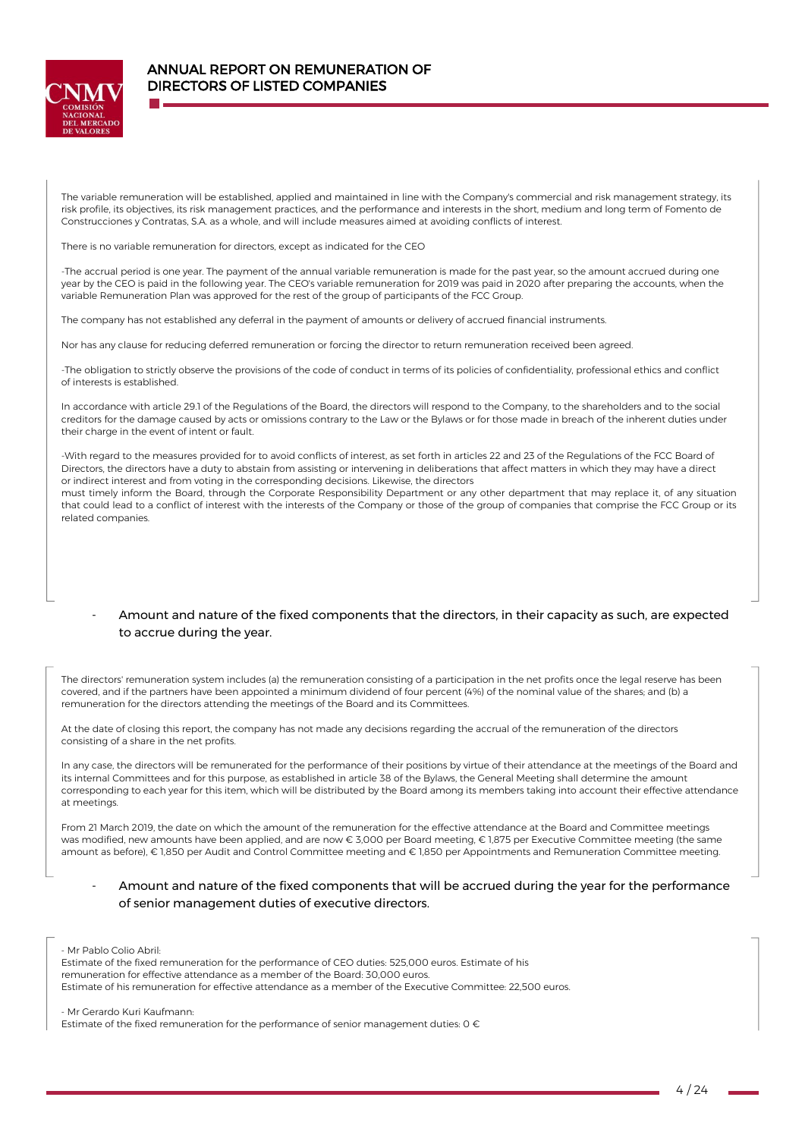

The variable remuneration will be established, applied and maintained in line with the Company's commercial and risk management strategy, its risk profile, its objectives, its risk management practices, and the performance and interests in the short, medium and long term of Fomento de Construcciones y Contratas, S.A. as a whole, and will include measures aimed at avoiding conflicts of interest.

There is no variable remuneration for directors, except as indicated for the CEO

-The accrual period is one year. The payment of the annual variable remuneration is made for the past year, so the amount accrued during one year by the CEO is paid in the following year. The CEO's variable remuneration for 2019 was paid in 2020 after preparing the accounts, when the variable Remuneration Plan was approved for the rest of the group of participants of the FCC Group.

The company has not established any deferral in the payment of amounts or delivery of accrued financial instruments.

Nor has any clause for reducing deferred remuneration or forcing the director to return remuneration received been agreed.

-The obligation to strictly observe the provisions of the code of conduct in terms of its policies of confidentiality, professional ethics and conflict of interests is established.

In accordance with article 29.1 of the Regulations of the Board, the directors will respond to the Company, to the shareholders and to the social creditors for the damage caused by acts or omissions contrary to the Law or the Bylaws or for those made in breach of the inherent duties under their charge in the event of intent or fault.

-With regard to the measures provided for to avoid conflicts of interest, as set forth in articles 22 and 23 of the Regulations of the FCC Board of Directors, the directors have a duty to abstain from assisting or intervening in deliberations that affect matters in which they may have a direct or indirect interest and from voting in the corresponding decisions. Likewise, the directors

must timely inform the Board, through the Corporate Responsibility Department or any other department that may replace it, of any situation that could lead to a conflict of interest with the interests of the Company or those of the group of companies that comprise the FCC Group or its related companies.

## - Amount and nature of the fixed components that the directors, in their capacity as such, are expected to accrue during the year.

The directors' remuneration system includes (a) the remuneration consisting of a participation in the net profits once the legal reserve has been covered, and if the partners have been appointed a minimum dividend of four percent (4%) of the nominal value of the shares; and (b) a remuneration for the directors attending the meetings of the Board and its Committees.

At the date of closing this report, the company has not made any decisions regarding the accrual of the remuneration of the directors consisting of a share in the net profits.

In any case, the directors will be remunerated for the performance of their positions by virtue of their attendance at the meetings of the Board and its internal Committees and for this purpose, as established in article 38 of the Bylaws, the General Meeting shall determine the amount corresponding to each year for this item, which will be distributed by the Board among its members taking into account their effective attendance at meetings.

From 21 March 2019, the date on which the amount of the remuneration for the effective attendance at the Board and Committee meetings was modified, new amounts have been applied, and are now € 3,000 per Board meeting, € 1,875 per Executive Committee meeting (the same amount as before), € 1,850 per Audit and Control Committee meeting and € 1,850 per Appointments and Remuneration Committee meeting.

## Amount and nature of the fixed components that will be accrued during the year for the performance of senior management duties of executive directors.

- Mr Pablo Colio Abril:

Estimate of the fixed remuneration for the performance of CEO duties: 525,000 euros. Estimate of his remuneration for effective attendance as a member of the Board: 30,000 euros. Estimate of his remuneration for effective attendance as a member of the Executive Committee: 22,500 euros.

- Mr Gerardo Kuri Kaufmann:

Estimate of the fixed remuneration for the performance of senior management duties:  $0 \in$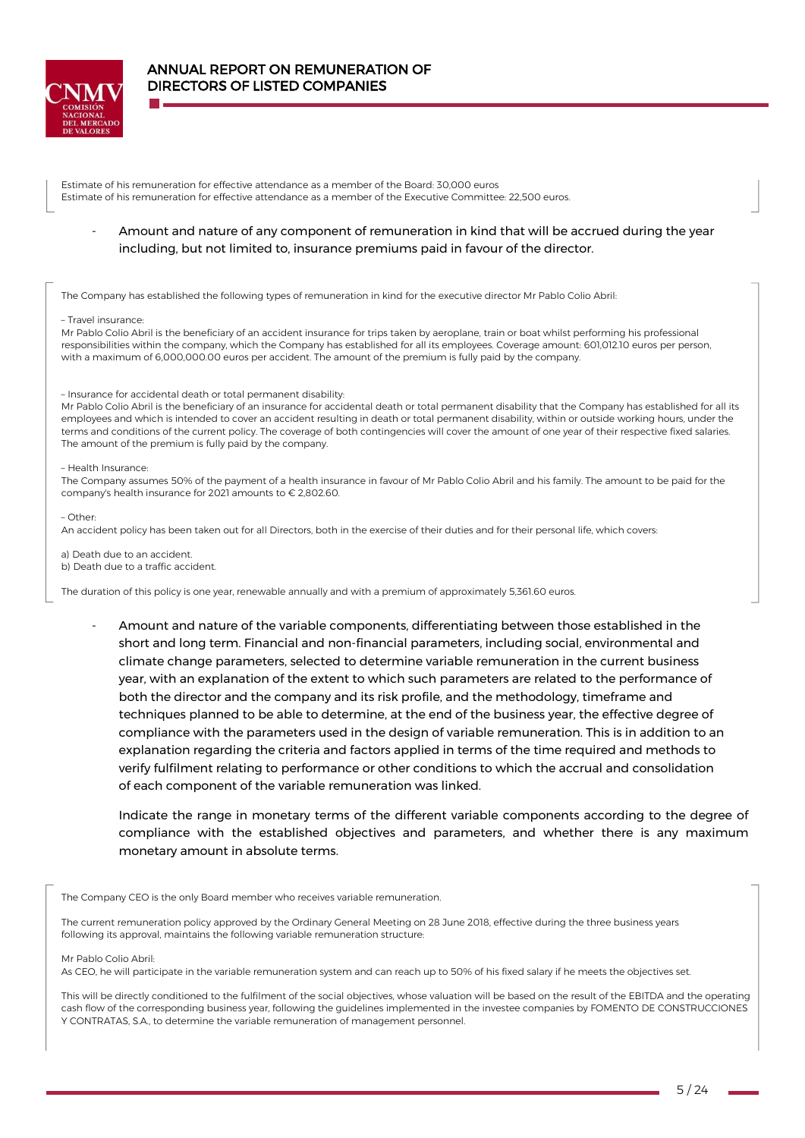

Estimate of his remuneration for effective attendance as a member of the Board: 30,000 euros Estimate of his remuneration for effective attendance as a member of the Executive Committee: 22,500 euros.

- Amount and nature of any component of remuneration in kind that will be accrued during the year including, but not limited to, insurance premiums paid in favour of the director.

The Company has established the following types of remuneration in kind for the executive director Mr Pablo Colio Abril:

#### – Travel insurance:

Mr Pablo Colio Abril is the beneficiary of an accident insurance for trips taken by aeroplane, train or boat whilst performing his professional responsibilities within the company, which the Company has established for all its employees. Coverage amount: 601,012.10 euros per person, with a maximum of 6,000,000.00 euros per accident. The amount of the premium is fully paid by the company.

#### – Insurance for accidental death or total permanent disability:

Mr Pablo Colio Abril is the beneficiary of an insurance for accidental death or total permanent disability that the Company has established for all its employees and which is intended to cover an accident resulting in death or total permanent disability, within or outside working hours, under the terms and conditions of the current policy. The coverage of both contingencies will cover the amount of one year of their respective fixed salaries. The amount of the premium is fully paid by the company.

#### – Health Insurance:

The Company assumes 50% of the payment of a health insurance in favour of Mr Pablo Colio Abril and his family. The amount to be paid for the company's health insurance for 2021 amounts to € 2,802.60.

– Other:

An accident policy has been taken out for all Directors, both in the exercise of their duties and for their personal life, which covers:

a) Death due to an accident. b) Death due to a traffic accident.

The duration of this policy is one year, renewable annually and with a premium of approximately 5,361.60 euros.

- Amount and nature of the variable components, differentiating between those established in the short and long term. Financial and non-financial parameters, including social, environmental and climate change parameters, selected to determine variable remuneration in the current business year, with an explanation of the extent to which such parameters are related to the performance of both the director and the company and its risk profile, and the methodology, timeframe and techniques planned to be able to determine, at the end of the business year, the effective degree of compliance with the parameters used in the design of variable remuneration. This is in addition to an explanation regarding the criteria and factors applied in terms of the time required and methods to verify fulfilment relating to performance or other conditions to which the accrual and consolidation of each component of the variable remuneration was linked.

Indicate the range in monetary terms of the different variable components according to the degree of compliance with the established objectives and parameters, and whether there is any maximum monetary amount in absolute terms.

The Company CEO is the only Board member who receives variable remuneration.

The current remuneration policy approved by the Ordinary General Meeting on 28 June 2018, effective during the three business years following its approval, maintains the following variable remuneration structure:

#### Mr Pablo Colio Abril:

As CEO, he will participate in the variable remuneration system and can reach up to 50% of his fixed salary if he meets the objectives set.

This will be directly conditioned to the fulfilment of the social objectives, whose valuation will be based on the result of the EBITDA and the operating cash flow of the corresponding business year, following the guidelines implemented in the investee companies by FOMENTO DE CONSTRUCCIONES Y CONTRATAS, S.A., to determine the variable remuneration of management personnel.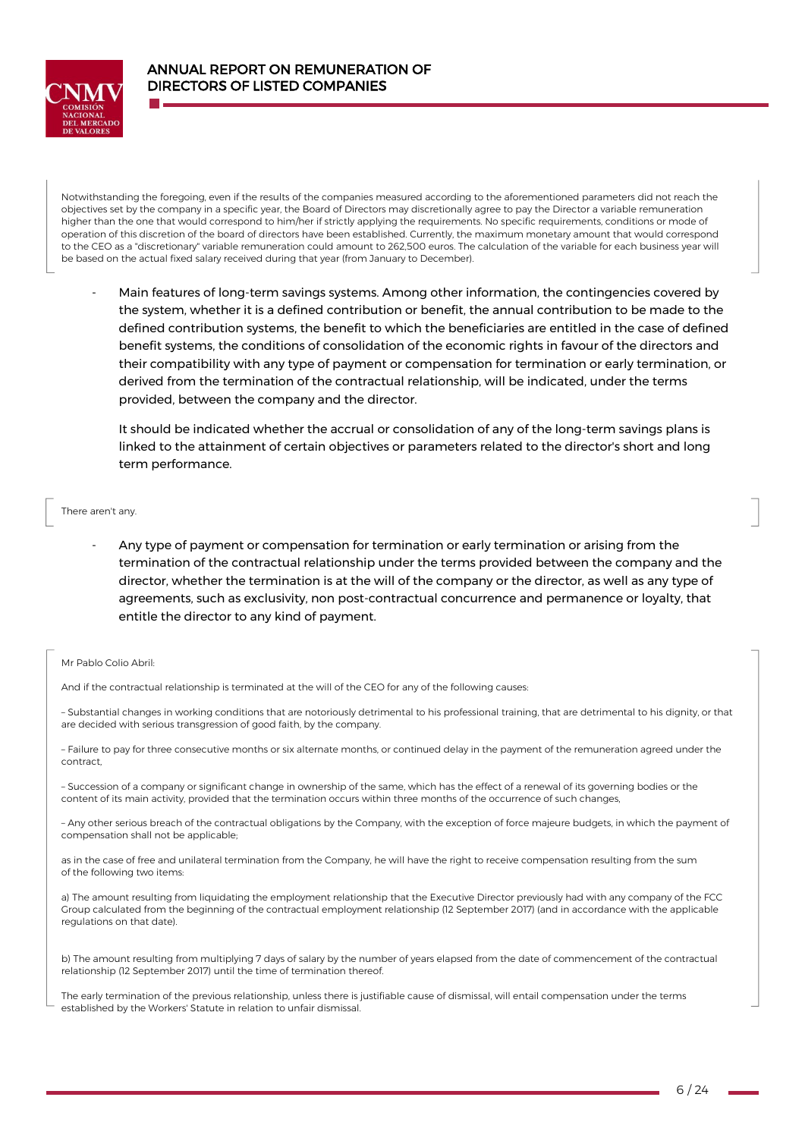

Notwithstanding the foregoing, even if the results of the companies measured according to the aforementioned parameters did not reach the objectives set by the company in a specific year, the Board of Directors may discretionally agree to pay the Director a variable remuneration higher than the one that would correspond to him/her if strictly applying the requirements. No specific requirements, conditions or mode of operation of this discretion of the board of directors have been established. Currently, the maximum monetary amount that would correspond to the CEO as a "discretionary" variable remuneration could amount to 262,500 euros. The calculation of the variable for each business year will be based on the actual fixed salary received during that year (from January to December).

- Main features of long-term savings systems. Among other information, the contingencies covered by the system, whether it is a defined contribution or benefit, the annual contribution to be made to the defined contribution systems, the benefit to which the beneficiaries are entitled in the case of defined benefit systems, the conditions of consolidation of the economic rights in favour of the directors and their compatibility with any type of payment or compensation for termination or early termination, or derived from the termination of the contractual relationship, will be indicated, under the terms provided, between the company and the director.

It should be indicated whether the accrual or consolidation of any of the long-term savings plans is linked to the attainment of certain objectives or parameters related to the director's short and long term performance.

#### There aren't any.

Any type of payment or compensation for termination or early termination or arising from the termination of the contractual relationship under the terms provided between the company and the director, whether the termination is at the will of the company or the director, as well as any type of agreements, such as exclusivity, non post-contractual concurrence and permanence or loyalty, that entitle the director to any kind of payment.

#### Mr Pablo Colio Abril:

And if the contractual relationship is terminated at the will of the CEO for any of the following causes:

– Substantial changes in working conditions that are notoriously detrimental to his professional training, that are detrimental to his dignity, or that are decided with serious transgression of good faith, by the company.

– Failure to pay for three consecutive months or six alternate months, or continued delay in the payment of the remuneration agreed under the contract,

– Succession of a company or significant change in ownership of the same, which has the effect of a renewal of its governing bodies or the content of its main activity, provided that the termination occurs within three months of the occurrence of such changes,

– Any other serious breach of the contractual obligations by the Company, with the exception of force majeure budgets, in which the payment of compensation shall not be applicable;

as in the case of free and unilateral termination from the Company, he will have the right to receive compensation resulting from the sum of the following two items:

a) The amount resulting from liquidating the employment relationship that the Executive Director previously had with any company of the FCC Group calculated from the beginning of the contractual employment relationship (12 September 2017) (and in accordance with the applicable regulations on that date).

b) The amount resulting from multiplying 7 days of salary by the number of years elapsed from the date of commencement of the contractual relationship (12 September 2017) until the time of termination thereof.

The early termination of the previous relationship, unless there is justifiable cause of dismissal, will entail compensation under the terms established by the Workers' Statute in relation to unfair dismissal.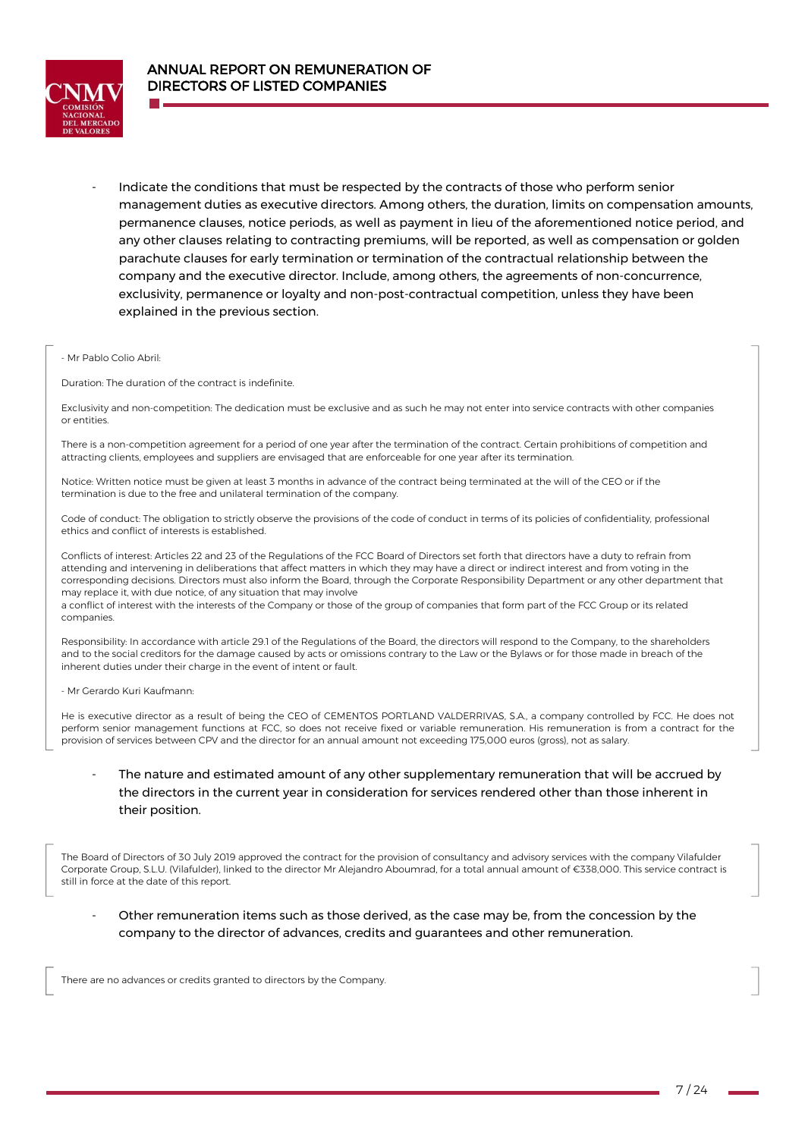

- Indicate the conditions that must be respected by the contracts of those who perform senior management duties as executive directors. Among others, the duration, limits on compensation amounts, permanence clauses, notice periods, as well as payment in lieu of the aforementioned notice period, and any other clauses relating to contracting premiums, will be reported, as well as compensation or golden parachute clauses for early termination or termination of the contractual relationship between the company and the executive director. Include, among others, the agreements of non-concurrence, exclusivity, permanence or loyalty and non-post-contractual competition, unless they have been explained in the previous section.

#### - Mr Pablo Colio Abril:

Duration: The duration of the contract is indefinite.

Exclusivity and non-competition: The dedication must be exclusive and as such he may not enter into service contracts with other companies or entities.

There is a non-competition agreement for a period of one year after the termination of the contract. Certain prohibitions of competition and attracting clients, employees and suppliers are envisaged that are enforceable for one year after its termination.

Notice: Written notice must be given at least 3 months in advance of the contract being terminated at the will of the CEO or if the termination is due to the free and unilateral termination of the company.

Code of conduct: The obligation to strictly observe the provisions of the code of conduct in terms of its policies of confidentiality, professional ethics and conflict of interests is established.

Conflicts of interest: Articles 22 and 23 of the Regulations of the FCC Board of Directors set forth that directors have a duty to refrain from attending and intervening in deliberations that affect matters in which they may have a direct or indirect interest and from voting in the corresponding decisions. Directors must also inform the Board, through the Corporate Responsibility Department or any other department that may replace it, with due notice, of any situation that may involve

a conflict of interest with the interests of the Company or those of the group of companies that form part of the FCC Group or its related companies.

Responsibility: In accordance with article 29.1 of the Regulations of the Board, the directors will respond to the Company, to the shareholders and to the social creditors for the damage caused by acts or omissions contrary to the Law or the Bylaws or for those made in breach of the inherent duties under their charge in the event of intent or fault.

- Mr Gerardo Kuri Kaufmann:

He is executive director as a result of being the CEO of CEMENTOS PORTLAND VALDERRIVAS, S.A., a company controlled by FCC. He does not perform senior management functions at FCC, so does not receive fixed or variable remuneration. His remuneration is from a contract for the provision of services between CPV and the director for an annual amount not exceeding 175,000 euros (gross), not as salary.

## The nature and estimated amount of any other supplementary remuneration that will be accrued by the directors in the current year in consideration for services rendered other than those inherent in their position.

The Board of Directors of 30 July 2019 approved the contract for the provision of consultancy and advisory services with the company Vilafulder Corporate Group, S.L.U. (Vilafulder), linked to the director Mr Alejandro Aboumrad, for a total annual amount of €338,000. This service contract is still in force at the date of this report.

Other remuneration items such as those derived, as the case may be, from the concession by the company to the director of advances, credits and guarantees and other remuneration.

There are no advances or credits granted to directors by the Company.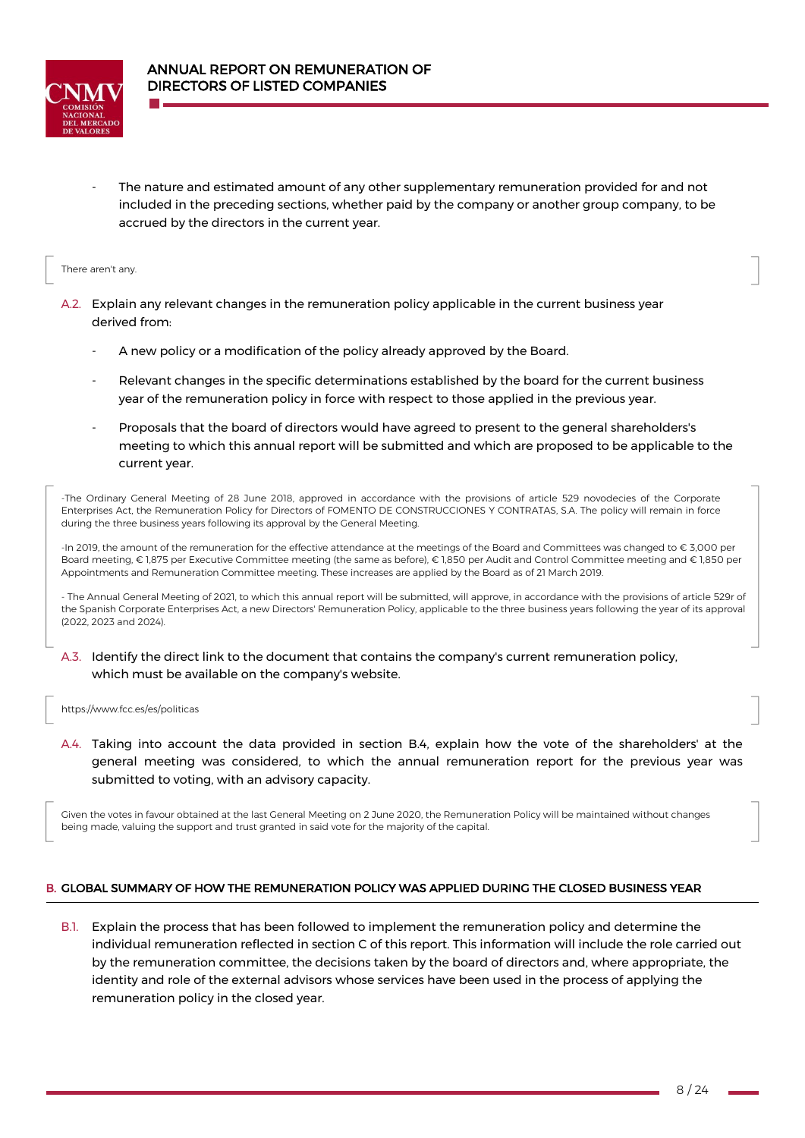

The nature and estimated amount of any other supplementary remuneration provided for and not included in the preceding sections, whether paid by the company or another group company, to be accrued by the directors in the current year.

### There aren't any.

- A.2. Explain any relevant changes in the remuneration policy applicable in the current business year derived from:
	- A new policy or a modification of the policy already approved by the Board.
	- Relevant changes in the specific determinations established by the board for the current business year of the remuneration policy in force with respect to those applied in the previous year.
	- Proposals that the board of directors would have agreed to present to the general shareholders's meeting to which this annual report will be submitted and which are proposed to be applicable to the current year.

-The Ordinary General Meeting of 28 June 2018, approved in accordance with the provisions of article 529 novodecies of the Corporate Enterprises Act, the Remuneration Policy for Directors of FOMENTO DE CONSTRUCCIONES Y CONTRATAS, S.A. The policy will remain in force during the three business years following its approval by the General Meeting.

-In 2019, the amount of the remuneration for the effective attendance at the meetings of the Board and Committees was changed to € 3,000 per Board meeting, € 1,875 per Executive Committee meeting (the same as before), € 1,850 per Audit and Control Committee meeting and € 1,850 per Appointments and Remuneration Committee meeting. These increases are applied by the Board as of 21 March 2019.

- The Annual General Meeting of 2021, to which this annual report will be submitted, will approve, in accordance with the provisions of article 529r of the Spanish Corporate Enterprises Act, a new Directors' Remuneration Policy, applicable to the three business years following the year of its approval (2022, 2023 and 2024).

A.3. Identify the direct link to the document that contains the company's current remuneration policy, which must be available on the company's website.

### [https://www.fcc.es/es/politicas](http://www.fcc.es/es/politicas)

A.4. Taking into account the data provided in section B.4, explain how the vote of the shareholders' at the general meeting was considered, to which the annual remuneration report for the previous year was submitted to voting, with an advisory capacity.

Given the votes in favour obtained at the last General Meeting on 2 June 2020, the Remuneration Policy will be maintained without changes being made, valuing the support and trust granted in said vote for the majority of the capital.

## B. GLOBAL SUMMARY OF HOW THE REMUNERATION POLICY WAS APPLIED DURING THE CLOSED BUSINESS YEAR

B.1. Explain the process that has been followed to implement the remuneration policy and determine the individual remuneration reflected in section C of this report. This information will include the role carried out by the remuneration committee, the decisions taken by the board of directors and, where appropriate, the identity and role of the external advisors whose services have been used in the process of applying the remuneration policy in the closed year.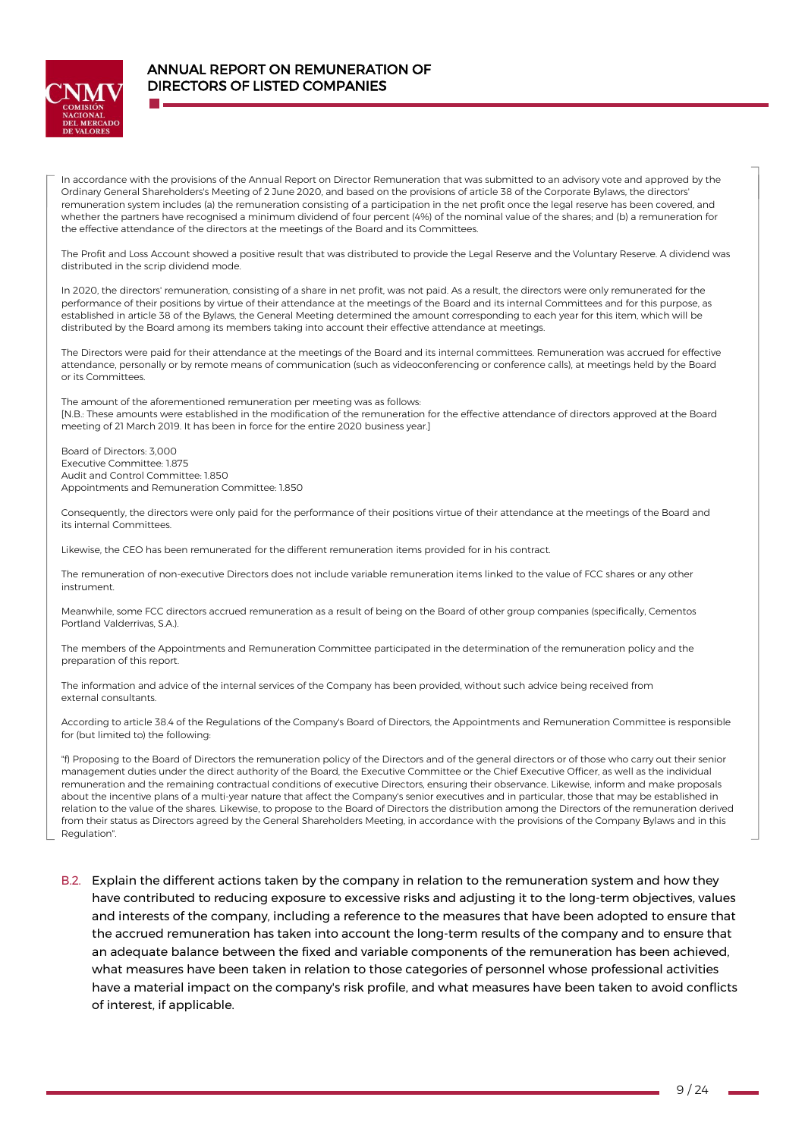

In accordance with the provisions of the Annual Report on Director Remuneration that was submitted to an advisory vote and approved by the Ordinary General Shareholders's Meeting of 2 June 2020, and based on the provisions of article 38 of the Corporate Bylaws, the directors' remuneration system includes (a) the remuneration consisting of a participation in the net profit once the legal reserve has been covered, and whether the partners have recognised a minimum dividend of four percent (4%) of the nominal value of the shares; and (b) a remuneration for the effective attendance of the directors at the meetings of the Board and its Committees.

The Profit and Loss Account showed a positive result that was distributed to provide the Legal Reserve and the Voluntary Reserve. A dividend was distributed in the scrip dividend mode.

In 2020, the directors' remuneration, consisting of a share in net profit, was not paid. As a result, the directors were only remunerated for the performance of their positions by virtue of their attendance at the meetings of the Board and its internal Committees and for this purpose, as established in article 38 of the Bylaws, the General Meeting determined the amount corresponding to each year for this item, which will be distributed by the Board among its members taking into account their effective attendance at meetings.

The Directors were paid for their attendance at the meetings of the Board and its internal committees. Remuneration was accrued for effective attendance, personally or by remote means of communication (such as videoconferencing or conference calls), at meetings held by the Board or its Committees.

The amount of the aforementioned remuneration per meeting was as follows: [N.B.: These amounts were established in the modification of the remuneration for the effective attendance of directors approved at the Board meeting of 21 March 2019. It has been in force for the entire 2020 business year.]

Board of Directors: 3,000 Executive Committee: 1.875 Audit and Control Committee: 1.850 Appointments and Remuneration Committee: 1.850

Consequently, the directors were only paid for the performance of their positions virtue of their attendance at the meetings of the Board and its internal Committees.

Likewise, the CEO has been remunerated for the different remuneration items provided for in his contract.

The remuneration of non-executive Directors does not include variable remuneration items linked to the value of FCC shares or any other instrument.

Meanwhile, some FCC directors accrued remuneration as a result of being on the Board of other group companies (specifically, Cementos Portland Valderrivas, S.A.).

The members of the Appointments and Remuneration Committee participated in the determination of the remuneration policy and the preparation of this report.

The information and advice of the internal services of the Company has been provided, without such advice being received from external consultants.

According to article 38.4 of the Regulations of the Company's Board of Directors, the Appointments and Remuneration Committee is responsible for (but limited to) the following:

"f) Proposing to the Board of Directors the remuneration policy of the Directors and of the general directors or of those who carry out their senior management duties under the direct authority of the Board, the Executive Committee or the Chief Executive Officer, as well as the individual remuneration and the remaining contractual conditions of executive Directors, ensuring their observance. Likewise, inform and make proposals about the incentive plans of a multi-year nature that affect the Company's senior executives and in particular, those that may be established in relation to the value of the shares. Likewise, to propose to the Board of Directors the distribution among the Directors of the remuneration derived from their status as Directors agreed by the General Shareholders Meeting, in accordance with the provisions of the Company Bylaws and in this Regulation".

B.2. Explain the different actions taken by the company in relation to the remuneration system and how they have contributed to reducing exposure to excessive risks and adjusting it to the long-term objectives, values and interests of the company, including a reference to the measures that have been adopted to ensure that the accrued remuneration has taken into account the long-term results of the company and to ensure that an adequate balance between the fixed and variable components of the remuneration has been achieved, what measures have been taken in relation to those categories of personnel whose professional activities have a material impact on the company's risk profile, and what measures have been taken to avoid conflicts of interest, if applicable.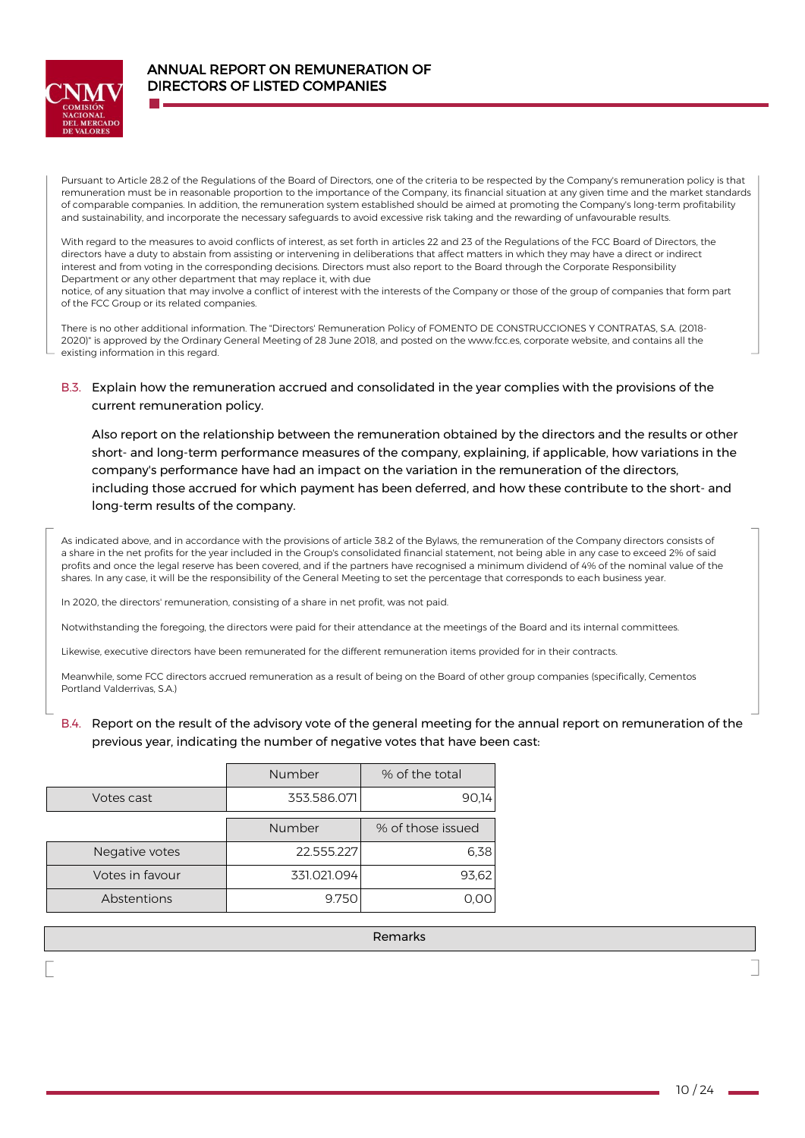

Pursuant to Article 28.2 of the Regulations of the Board of Directors, one of the criteria to be respected by the Company's remuneration policy is that remuneration must be in reasonable proportion to the importance of the Company, its financial situation at any given time and the market standards of comparable companies. In addition, the remuneration system established should be aimed at promoting the Company's long-term profitability and sustainability, and incorporate the necessary safeguards to avoid excessive risk taking and the rewarding of unfavourable results.

With regard to the measures to avoid conflicts of interest, as set forth in articles 22 and 23 of the Regulations of the FCC Board of Directors, the directors have a duty to abstain from assisting or intervening in deliberations that affect matters in which they may have a direct or indirect interest and from voting in the corresponding decisions. Directors must also report to the Board through the Corporate Responsibility Department or any other department that may replace it, with due notice, of any situation that may involve a conflict of interest with the interests of the Company or those of the group of companies that form part

of the FCC Group or its related companies.

There is no other additional information. The "Directors' Remuneration Policy of FOMENTO DE CONSTRUCCIONES Y CONTRATAS, S.A. (2018- 2020)" is approved by the Ordinary General Meeting of 28 June 2018, and posted on th[e www.fcc.es,](http://www.fcc.es/) corporate website, and contains all the existing information in this regard.

## B.3. Explain how the remuneration accrued and consolidated in the year complies with the provisions of the current remuneration policy.

Also report on the relationship between the remuneration obtained by the directors and the results or other short- and long-term performance measures of the company, explaining, if applicable, how variations in the company's performance have had an impact on the variation in the remuneration of the directors, including those accrued for which payment has been deferred, and how these contribute to the short- and long-term results of the company.

As indicated above, and in accordance with the provisions of article 38.2 of the Bylaws, the remuneration of the Company directors consists of a share in the net profits for the year included in the Group's consolidated financial statement, not being able in any case to exceed 2% of said profits and once the legal reserve has been covered, and if the partners have recognised a minimum dividend of 4% of the nominal value of the shares. In any case, it will be the responsibility of the General Meeting to set the percentage that corresponds to each business year.

In 2020, the directors' remuneration, consisting of a share in net profit, was not paid.

Notwithstanding the foregoing, the directors were paid for their attendance at the meetings of the Board and its internal committees.

Likewise, executive directors have been remunerated for the different remuneration items provided for in their contracts.

Meanwhile, some FCC directors accrued remuneration as a result of being on the Board of other group companies (specifically, Cementos Portland Valderrivas, S.A.)

## B.4. Report on the result of the advisory vote of the general meeting for the annual report on remuneration of the previous year, indicating the number of negative votes that have been cast:

|                 | Number      | % of the total    |  |  |
|-----------------|-------------|-------------------|--|--|
| Votes cast      | 353.586.071 | 90.14             |  |  |
|                 | Number      | % of those issued |  |  |
| Negative votes  | 22.555.227  | 6.38              |  |  |
| Votes in favour | 331.021.094 | 93.62             |  |  |
| Abstentions     | 9.750       |                   |  |  |

Remarks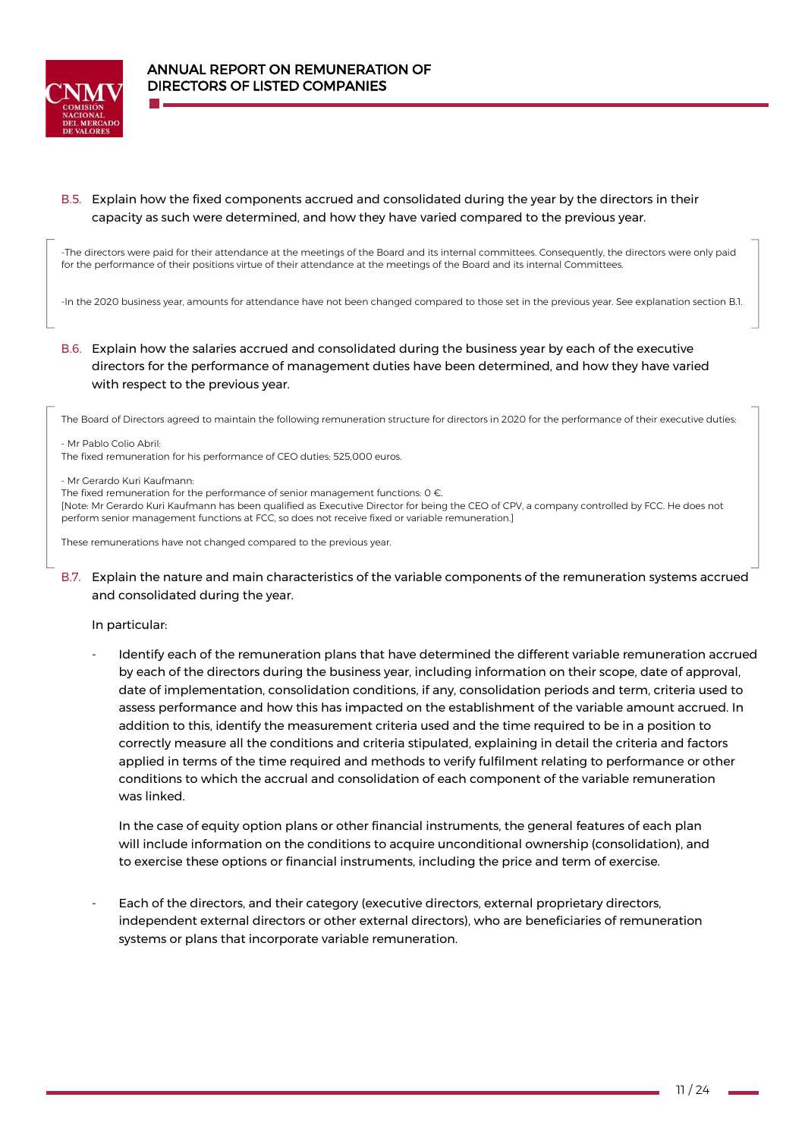

# B.5. Explain how the fixed components accrued and consolidated during the year by the directors in their capacity as such were determined, and how they have varied compared to the previous year.

-The directors were paid for their attendance at the meetings of the Board and its internal committees. Consequently, the directors were only paid for the performance of their positions virtue of their attendance at the meetings of the Board and its internal Committees.

-In the 2020 business year, amounts for attendance have not been changed compared to those set in the previous year. See explanation section B.1.

# B.6. Explain how the salaries accrued and consolidated during the business year by each of the executive directors for the performance of management duties have been determined, and how they have varied with respect to the previous year.

The Board of Directors agreed to maintain the following remuneration structure for directors in 2020 for the performance of their executive duties:

- Mr Pablo Colio Abril:

The fixed remuneration for his performance of CEO duties: 525,000 euros.

- Mr Gerardo Kuri Kaufmann:

The fixed remuneration for the performance of senior management functions:  $0 \in$ .

[Note: Mr Gerardo Kuri Kaufmann has been qualified as Executive Director for being the CEO of CPV, a company controlled by FCC. He does not perform senior management functions at FCC, so does not receive fixed or variable remuneration.]

These remunerations have not changed compared to the previous year.

B.7. Explain the nature and main characteristics of the variable components of the remuneration systems accrued and consolidated during the year.

### In particular:

Identify each of the remuneration plans that have determined the different variable remuneration accrued by each of the directors during the business year, including information on their scope, date of approval, date of implementation, consolidation conditions, if any, consolidation periods and term, criteria used to assess performance and how this has impacted on the establishment of the variable amount accrued. In addition to this, identify the measurement criteria used and the time required to be in a position to correctly measure all the conditions and criteria stipulated, explaining in detail the criteria and factors applied in terms of the time required and methods to verify fulfilment relating to performance or other conditions to which the accrual and consolidation of each component of the variable remuneration was linked.

In the case of equity option plans or other financial instruments, the general features of each plan will include information on the conditions to acquire unconditional ownership (consolidation), and to exercise these options or financial instruments, including the price and term of exercise.

Each of the directors, and their category (executive directors, external proprietary directors, independent external directors or other external directors), who are beneficiaries of remuneration systems or plans that incorporate variable remuneration.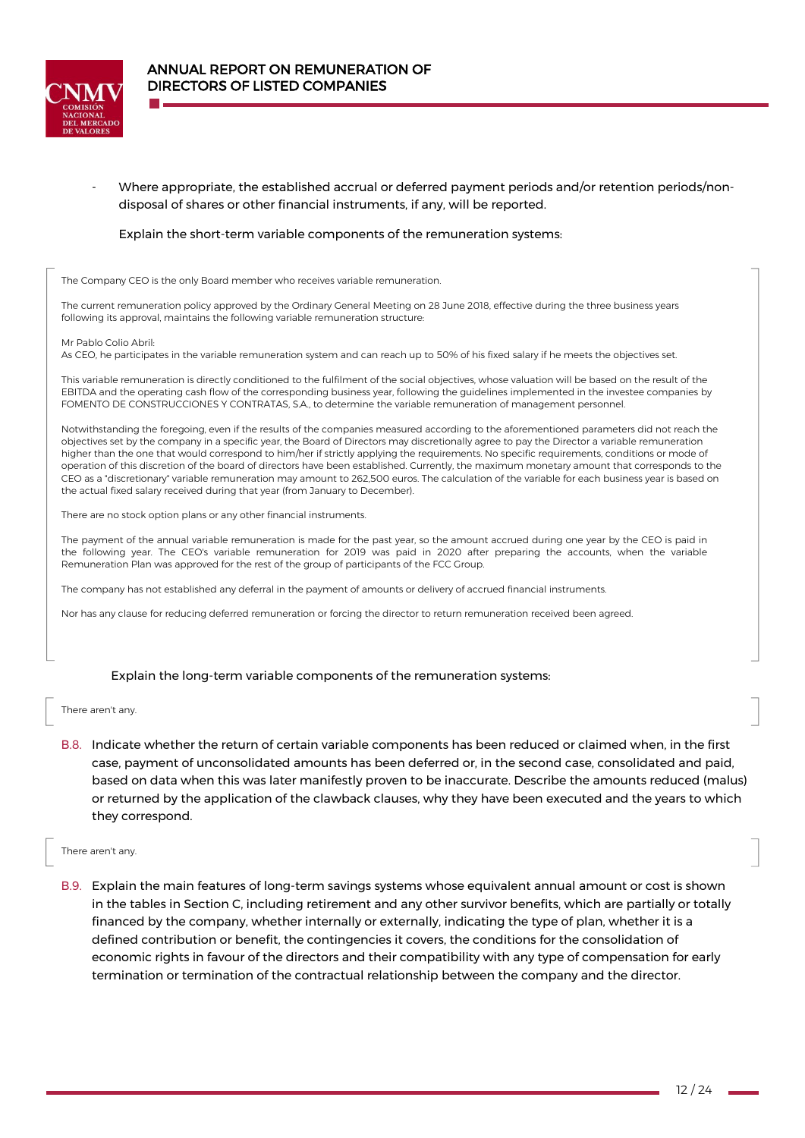

Where appropriate, the established accrual or deferred payment periods and/or retention periods/nondisposal of shares or other financial instruments, if any, will be reported.

### Explain the short-term variable components of the remuneration systems:

The Company CEO is the only Board member who receives variable remuneration.

The current remuneration policy approved by the Ordinary General Meeting on 28 June 2018, effective during the three business years following its approval, maintains the following variable remuneration structure:

Mr Pablo Colio Abril:

As CEO, he participates in the variable remuneration system and can reach up to 50% of his fixed salary if he meets the objectives set.

This variable remuneration is directly conditioned to the fulfilment of the social objectives, whose valuation will be based on the result of the EBITDA and the operating cash flow of the corresponding business year, following the guidelines implemented in the investee companies by FOMENTO DE CONSTRUCCIONES Y CONTRATAS, S.A., to determine the variable remuneration of management personnel.

Notwithstanding the foregoing, even if the results of the companies measured according to the aforementioned parameters did not reach the objectives set by the company in a specific year, the Board of Directors may discretionally agree to pay the Director a variable remuneration higher than the one that would correspond to him/her if strictly applying the requirements. No specific requirements, conditions or mode of operation of this discretion of the board of directors have been established. Currently, the maximum monetary amount that corresponds to the CEO as a "discretionary" variable remuneration may amount to 262,500 euros. The calculation of the variable for each business year is based on the actual fixed salary received during that year (from January to December).

There are no stock option plans or any other financial instruments.

The payment of the annual variable remuneration is made for the past year, so the amount accrued during one year by the CEO is paid in the following year. The CEO's variable remuneration for 2019 was paid in 2020 after preparing the accounts, when the variable Remuneration Plan was approved for the rest of the group of participants of the FCC Group.

The company has not established any deferral in the payment of amounts or delivery of accrued financial instruments.

Nor has any clause for reducing deferred remuneration or forcing the director to return remuneration received been agreed.

### Explain the long-term variable components of the remuneration systems:

There aren't any.

B.8. Indicate whether the return of certain variable components has been reduced or claimed when, in the first case, payment of unconsolidated amounts has been deferred or, in the second case, consolidated and paid, based on data when this was later manifestly proven to be inaccurate. Describe the amounts reduced (malus) or returned by the application of the clawback clauses, why they have been executed and the years to which they correspond.

There aren't any.

B.9. Explain the main features of long-term savings systems whose equivalent annual amount or cost is shown in the tables in Section C, including retirement and any other survivor benefits, which are partially or totally financed by the company, whether internally or externally, indicating the type of plan, whether it is a defined contribution or benefit, the contingencies it covers, the conditions for the consolidation of economic rights in favour of the directors and their compatibility with any type of compensation for early termination or termination of the contractual relationship between the company and the director.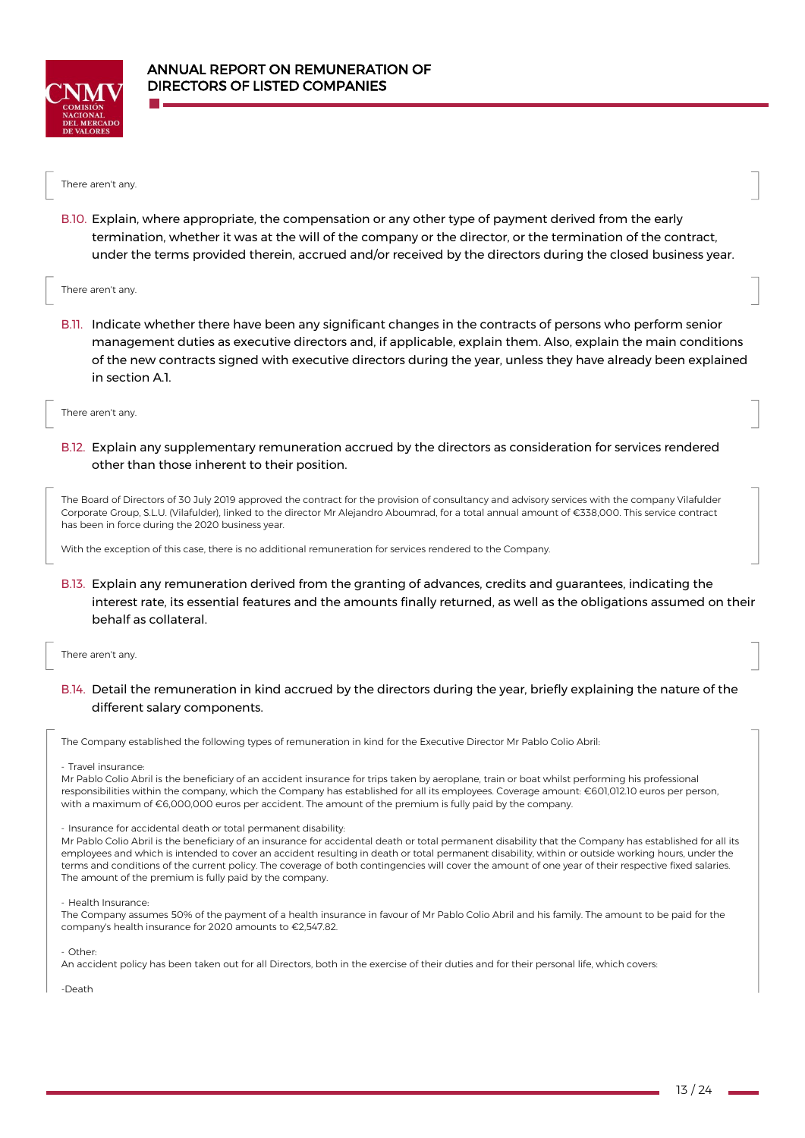



B.10. Explain, where appropriate, the compensation or any other type of payment derived from the early termination, whether it was at the will of the company or the director, or the termination of the contract, under the terms provided therein, accrued and/or received by the directors during the closed business year.

#### There aren't any.

B.11. Indicate whether there have been any significant changes in the contracts of persons who perform senior management duties as executive directors and, if applicable, explain them. Also, explain the main conditions of the new contracts signed with executive directors during the year, unless they have already been explained in section A.1.

There aren't any.

B.12. Explain any supplementary remuneration accrued by the directors as consideration for services rendered other than those inherent to their position.

The Board of Directors of 30 July 2019 approved the contract for the provision of consultancy and advisory services with the company Vilafulder Corporate Group, S.L.U. (Vilafulder), linked to the director Mr Alejandro Aboumrad, for a total annual amount of €338,000. This service contract has been in force during the 2020 business year.

With the exception of this case, there is no additional remuneration for services rendered to the Company.

B.13. Explain any remuneration derived from the granting of advances, credits and guarantees, indicating the interest rate, its essential features and the amounts finally returned, as well as the obligations assumed on their behalf as collateral.

There aren't any.

B.14. Detail the remuneration in kind accrued by the directors during the year, briefly explaining the nature of the different salary components.

The Company established the following types of remuneration in kind for the Executive Director Mr Pablo Colio Abril:

- Travel insurance:

Mr Pablo Colio Abril is the beneficiary of an accident insurance for trips taken by aeroplane, train or boat whilst performing his professional responsibilities within the company, which the Company has established for all its employees. Coverage amount: €601,012.10 euros per person, with a maximum of €6,000,000 euros per accident. The amount of the premium is fully paid by the company.

#### - Insurance for accidental death or total permanent disability:

Mr Pablo Colio Abril is the beneficiary of an insurance for accidental death or total permanent disability that the Company has established for all its employees and which is intended to cover an accident resulting in death or total permanent disability, within or outside working hours, under the terms and conditions of the current policy. The coverage of both contingencies will cover the amount of one year of their respective fixed salaries. The amount of the premium is fully paid by the company.

- Health Insurance:

The Company assumes 50% of the payment of a health insurance in favour of Mr Pablo Colio Abril and his family. The amount to be paid for the company's health insurance for 2020 amounts to €2,547.82.

- Other:

An accident policy has been taken out for all Directors, both in the exercise of their duties and for their personal life, which covers:

-Death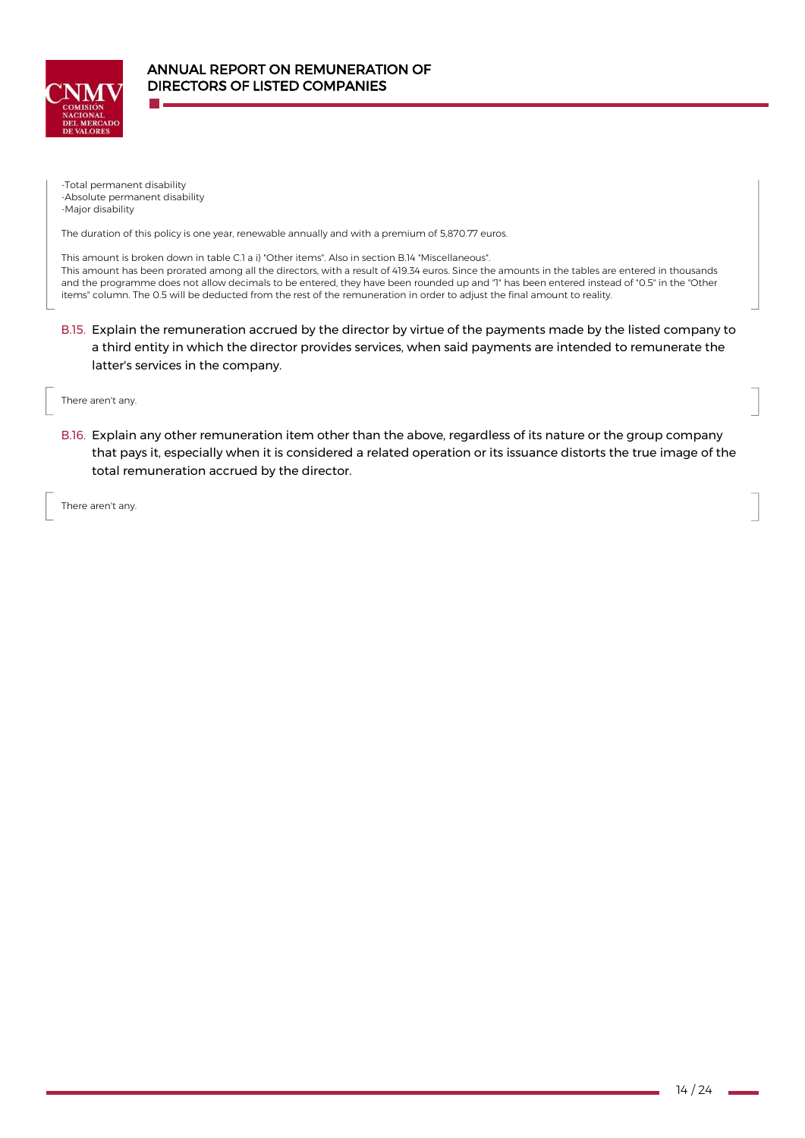

-Total permanent disability -Absolute permanent disability -Major disability

The duration of this policy is one year, renewable annually and with a premium of 5,870.77 euros.

This amount is broken down in table C.1 a i) "Other items". Also in section B.14 "Miscellaneous". This amount has been prorated among all the directors, with a result of 419.34 euros. Since the amounts in the tables are entered in thousands and the programme does not allow decimals to be entered, they have been rounded up and "1" has been entered instead of "0.5" in the "Other items" column. The 0.5 will be deducted from the rest of the remuneration in order to adjust the final amount to reality.

- B.15. Explain the remuneration accrued by the director by virtue of the payments made by the listed company to a third entity in which the director provides services, when said payments are intended to remunerate the latter's services in the company.
- There aren't any.
- B.16. Explain any other remuneration item other than the above, regardless of its nature or the group company that pays it, especially when it is considered a related operation or its issuance distorts the true image of the total remuneration accrued by the director.

There aren't any.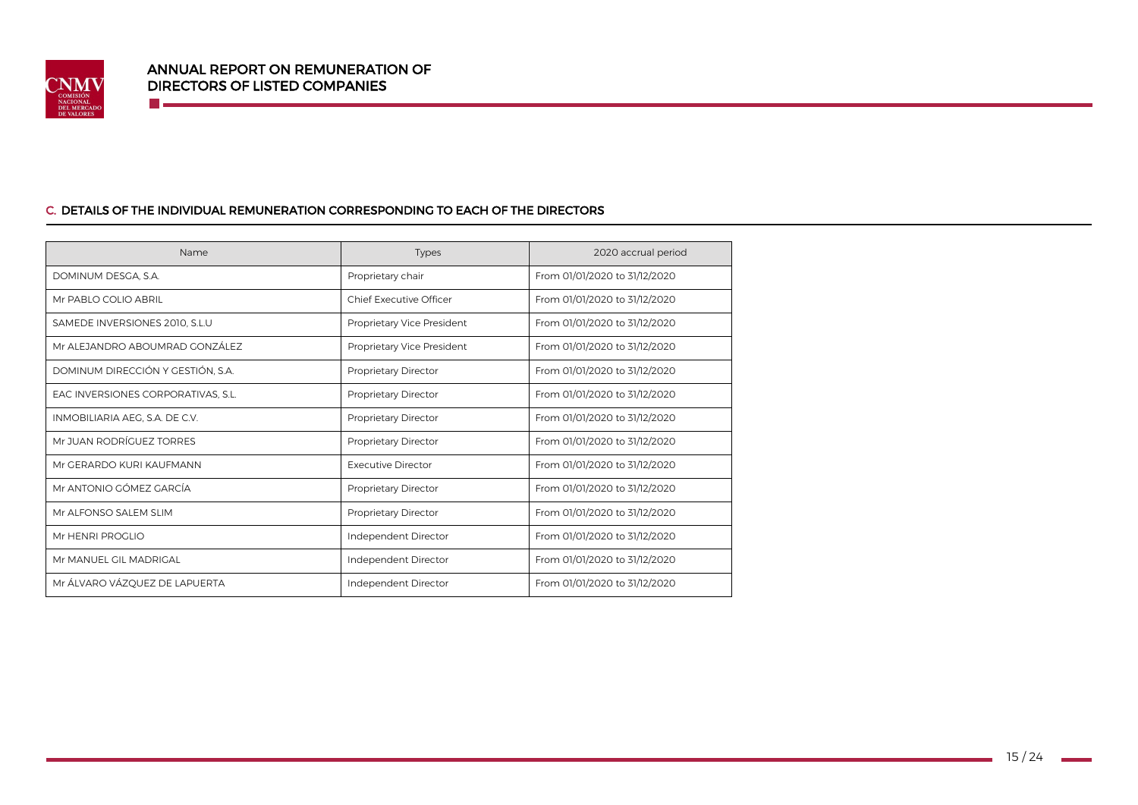

<u> Talentin ka</u>

## C. DETAILS OF THE INDIVIDUAL REMUNERATION CORRESPONDING TO EACH OF THE DIRECTORS

| Name                               | <b>Types</b>               | 2020 accrual period           |  |  |
|------------------------------------|----------------------------|-------------------------------|--|--|
| DOMINUM DESGA, S.A.                | Proprietary chair          | From 01/01/2020 to 31/12/2020 |  |  |
| Mr PABLO COLIO ABRIL               | Chief Executive Officer    | From 01/01/2020 to 31/12/2020 |  |  |
| SAMEDE INVERSIONES 2010, S.L.U     | Proprietary Vice President | From 01/01/2020 to 31/12/2020 |  |  |
| Mr ALEJANDRO ABOUMRAD GONZÁLEZ     | Proprietary Vice President | From 01/01/2020 to 31/12/2020 |  |  |
| DOMINUM DIRECCIÓN Y GESTIÓN, S.A.  | Proprietary Director       | From 01/01/2020 to 31/12/2020 |  |  |
| EAC INVERSIONES CORPORATIVAS, S.L. | Proprietary Director       | From 01/01/2020 to 31/12/2020 |  |  |
| INMOBILIARIA AEG, S.A. DE C.V.     | Proprietary Director       | From 01/01/2020 to 31/12/2020 |  |  |
| Mr JUAN RODRÍGUEZ TORRES           | Proprietary Director       | From 01/01/2020 to 31/12/2020 |  |  |
| Mr GERARDO KURI KAUFMANN           | <b>Executive Director</b>  | From 01/01/2020 to 31/12/2020 |  |  |
| Mr ANTONIO GÓMEZ GARCÍA            | Proprietary Director       | From 01/01/2020 to 31/12/2020 |  |  |
| Mr ALFONSO SALEM SLIM              | Proprietary Director       | From 01/01/2020 to 31/12/2020 |  |  |
| Mr HENRI PROGLIO                   | Independent Director       | From 01/01/2020 to 31/12/2020 |  |  |
| Mr MANUEL GIL MADRIGAL             | Independent Director       | From 01/01/2020 to 31/12/2020 |  |  |
| Mr ÁLVARO VÁZQUEZ DE LAPUERTA      | Independent Director       | From 01/01/2020 to 31/12/2020 |  |  |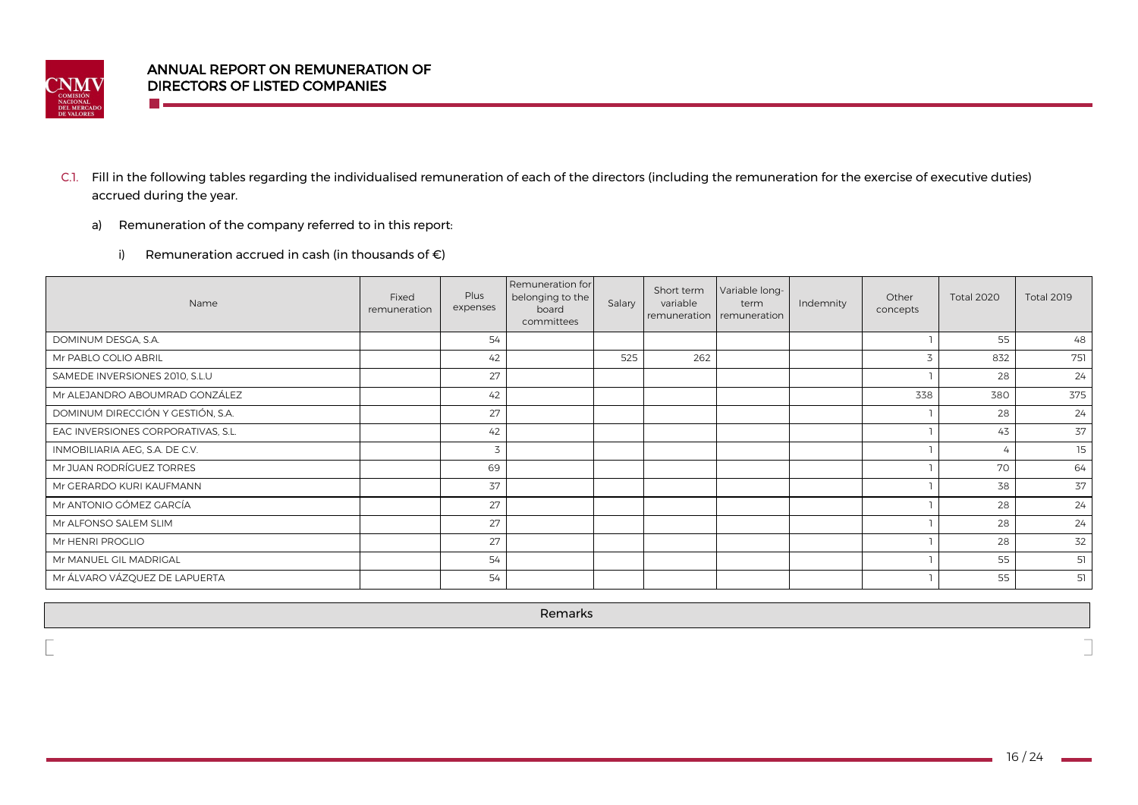

**COLLECT** 

- C.1. Fill in the following tables regarding the individualised remuneration of each of the directors (including the remuneration for the exercise of executive duties) accrued during the year.
	- a) Remuneration of the company referred to in this report:
		- i) Remuneration accrued in cash (in thousands of  $\epsilon$ )

| Name                               | Fixed<br>remuneration | Plus<br>expenses | Remuneration for<br>belonging to the<br>board<br>committees | Salary | Short term<br>variable | Variable long-<br>term<br>remuneration remuneration | Indemnity | Other<br>concepts | <b>Total 2020</b> | <b>Total 2019</b> |
|------------------------------------|-----------------------|------------------|-------------------------------------------------------------|--------|------------------------|-----------------------------------------------------|-----------|-------------------|-------------------|-------------------|
| DOMINUM DESGA, S.A.                |                       | 54               |                                                             |        |                        |                                                     |           |                   | 55                | 48                |
| Mr PABLO COLIO ABRIL               |                       | 42               |                                                             | 525    | 262                    |                                                     |           |                   | 832               | 751               |
| SAMEDE INVERSIONES 2010, S.L.U     |                       | 27               |                                                             |        |                        |                                                     |           |                   | 28                | 24                |
| Mr ALEJANDRO ABOUMRAD GONZÁLEZ     |                       | 42               |                                                             |        |                        |                                                     |           | 338               | 380               | 375               |
| DOMINUM DIRECCIÓN Y GESTIÓN, S.A.  |                       | 27               |                                                             |        |                        |                                                     |           |                   | 28                | 24                |
| EAC INVERSIONES CORPORATIVAS, S.L. |                       | 42               |                                                             |        |                        |                                                     |           |                   | 43                | 37                |
| INMOBILIARIA AEG, S.A. DE C.V.     |                       |                  |                                                             |        |                        |                                                     |           |                   |                   | 15                |
| Mr JUAN RODRÍGUEZ TORRES           |                       | 69               |                                                             |        |                        |                                                     |           |                   | 70                | 64                |
| Mr GERARDO KURI KAUFMANN           |                       | 37               |                                                             |        |                        |                                                     |           |                   | 38                | 37                |
| Mr ANTONIO GÓMEZ GARCÍA            |                       | 27               |                                                             |        |                        |                                                     |           |                   | 28                | 24                |
| Mr ALFONSO SALEM SLIM              |                       | 27               |                                                             |        |                        |                                                     |           |                   | 28                | 24                |
| Mr HENRI PROGLIO                   |                       | 27               |                                                             |        |                        |                                                     |           |                   | 28                | 32                |
| Mr MANUEL GIL MADRIGAL             |                       | 54               |                                                             |        |                        |                                                     |           |                   | 55                | 51                |
| Mr ÁLVARO VÁZQUEZ DE LAPUERTA      |                       | 54               |                                                             |        |                        |                                                     |           |                   | 55                | 51                |

Remarks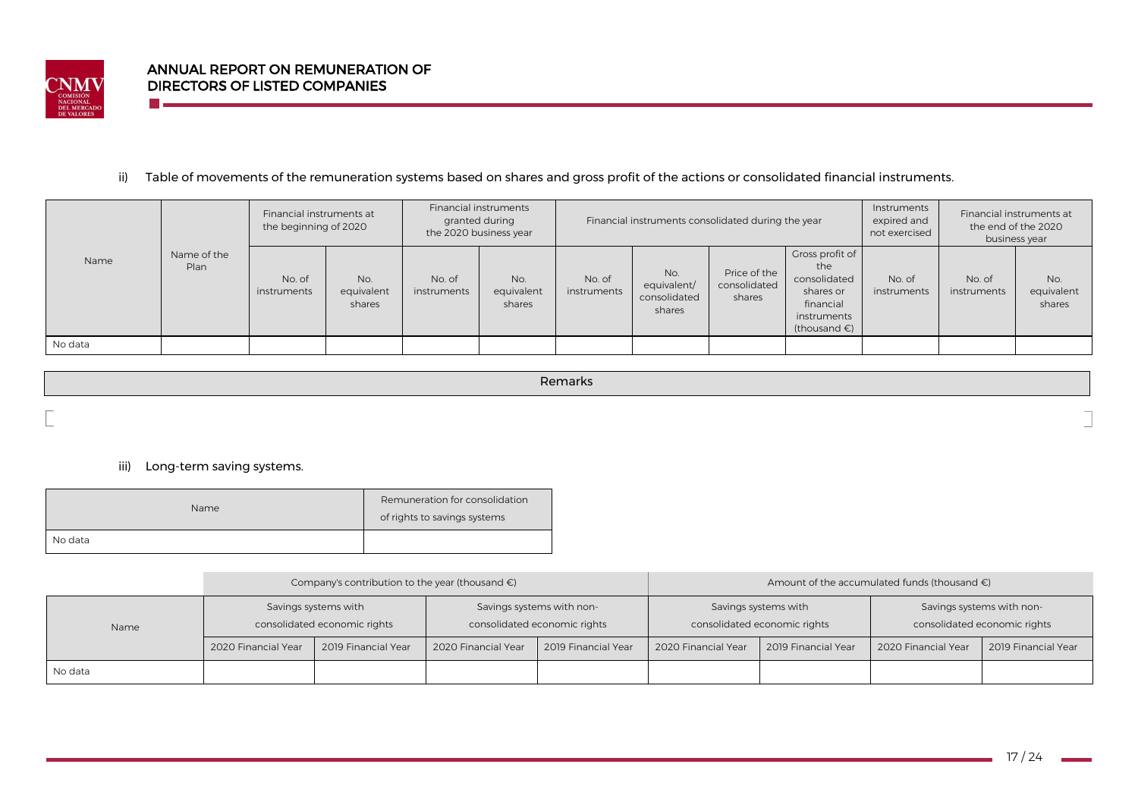

n e

## ii) Table of movements of the remuneration systems based on shares and gross profit of the actions or consolidated financial instruments.

|         |                     | Financial instruments at<br>the beginning of 2020 |                             | Financial instruments<br>granted during<br>the 2020 business year |                             | Financial instruments consolidated during the year |                                              |                                        | Instruments<br>expired and<br>not exercised                                                               |                       | Financial instruments at<br>the end of the 2020<br>business year |                             |
|---------|---------------------|---------------------------------------------------|-----------------------------|-------------------------------------------------------------------|-----------------------------|----------------------------------------------------|----------------------------------------------|----------------------------------------|-----------------------------------------------------------------------------------------------------------|-----------------------|------------------------------------------------------------------|-----------------------------|
| Name    | Name of the<br>Plan | No. of<br>instruments                             | No.<br>equivalent<br>shares | No. of<br>instruments                                             | No.<br>equivalent<br>shares | No. of<br>instruments                              | No.<br>equivalent/<br>consolidated<br>shares | Price of the<br>consolidated<br>shares | Gross profit of<br>the<br>consolidated<br>shares or<br>financial<br>instruments<br>(thousand $\epsilon$ ) | No. of<br>instruments | No. of<br>instruments                                            | No.<br>equivalent<br>shares |
| No data |                     |                                                   |                             |                                                                   |                             |                                                    |                                              |                                        |                                                                                                           |                       |                                                                  |                             |

Remarks

## iii) Long-term saving systems.

| Name    | Remuneration for consolidation<br>of rights to savings systems |
|---------|----------------------------------------------------------------|
| No data |                                                                |

|         |                     | Company's contribution to the year (thousand $\epsilon$ ) |                     |                                                           | Amount of the accumulated funds (thousand $\epsilon$ ) |                                                      |                                                           |                     |  |  |
|---------|---------------------|-----------------------------------------------------------|---------------------|-----------------------------------------------------------|--------------------------------------------------------|------------------------------------------------------|-----------------------------------------------------------|---------------------|--|--|
| Name    |                     | Savings systems with<br>consolidated economic rights      |                     | Savings systems with non-<br>consolidated economic rights |                                                        | Savings systems with<br>consolidated economic rights | Savings systems with non-<br>consolidated economic rights |                     |  |  |
|         | 2020 Financial Year | 2019 Financial Year                                       | 2020 Financial Year | 2019 Financial Year                                       | 2020 Financial Year                                    | 2019 Financial Year                                  | 2020 Financial Year                                       | 2019 Financial Year |  |  |
| No data |                     |                                                           |                     |                                                           |                                                        |                                                      |                                                           |                     |  |  |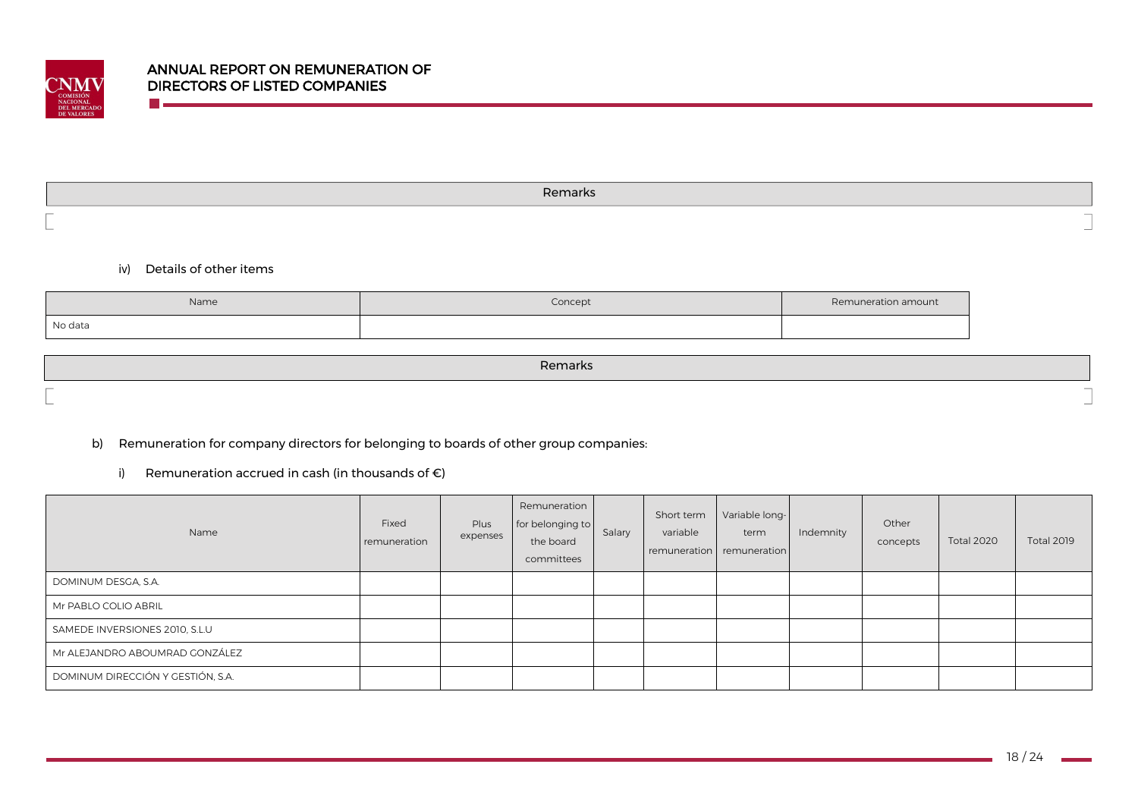

Remarks

iv) Details of other items

m.

| Name    | Concept | Remuneration amount |
|---------|---------|---------------------|
| No data |         |                     |

Remarks

b) Remuneration for company directors for belonging to boards of other group companies:

i) Remuneration accrued in cash (in thousands of  $\epsilon$ )

| Name                              | Fixed<br>remuneration | Plus<br>expenses | Remuneration<br>for belonging to<br>the board<br>committees | Salary | Short term<br>variable | Variable long-<br>term<br>remuneration remuneration | Indemnity | Other<br>concepts | <b>Total 2020</b> | <b>Total 2019</b> |
|-----------------------------------|-----------------------|------------------|-------------------------------------------------------------|--------|------------------------|-----------------------------------------------------|-----------|-------------------|-------------------|-------------------|
| DOMINUM DESGA, S.A.               |                       |                  |                                                             |        |                        |                                                     |           |                   |                   |                   |
| Mr PABLO COLIO ABRIL              |                       |                  |                                                             |        |                        |                                                     |           |                   |                   |                   |
| SAMEDE INVERSIONES 2010, S.L.U    |                       |                  |                                                             |        |                        |                                                     |           |                   |                   |                   |
| Mr ALEJANDRO ABOUMRAD GONZÁLEZ    |                       |                  |                                                             |        |                        |                                                     |           |                   |                   |                   |
| DOMINUM DIRECCIÓN Y GESTIÓN, S.A. |                       |                  |                                                             |        |                        |                                                     |           |                   |                   |                   |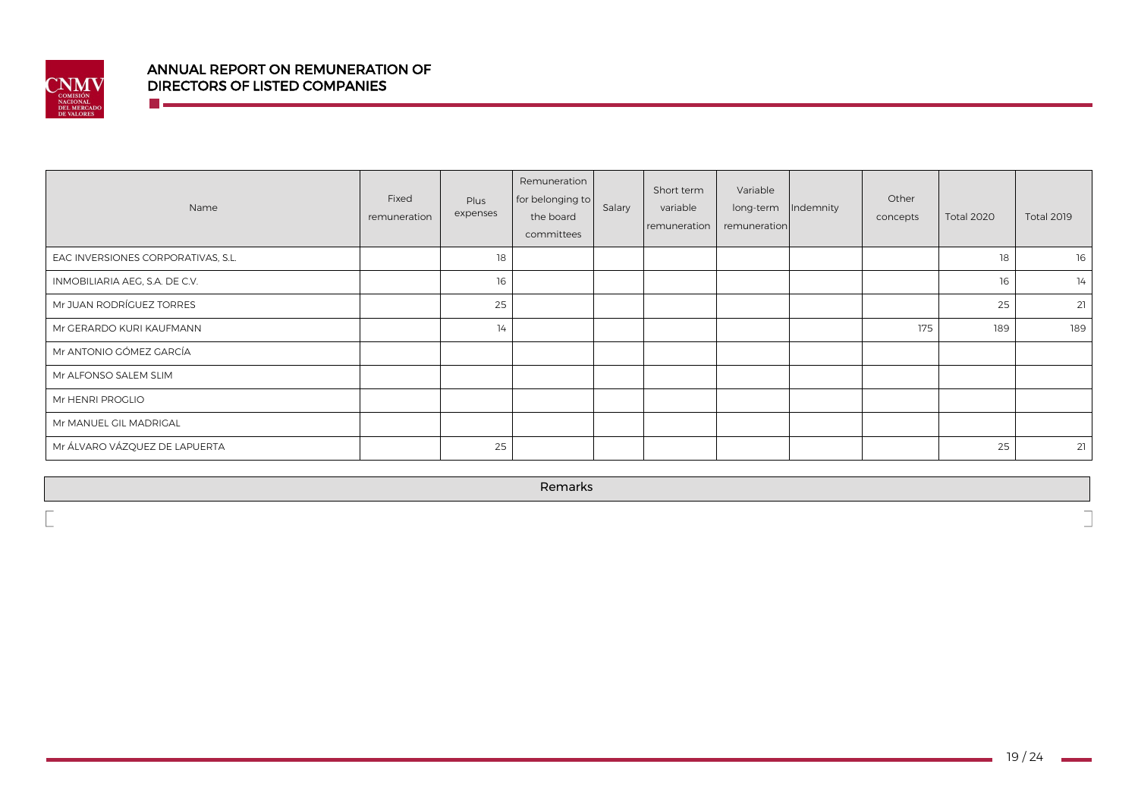

**The Company** 

# ANNUAL REPORT ON REMUNERATION OF DIRECTORS OF LISTED COMPANIES

| Name                               | Fixed<br>remuneration | Plus<br>expenses | Remuneration<br>for belonging to<br>the board<br>committees | Salary | Short term<br>variable<br>remuneration | Variable<br>long-term<br>remuneration | Indemnity | Other<br>concepts | <b>Total 2020</b> | <b>Total 2019</b> |
|------------------------------------|-----------------------|------------------|-------------------------------------------------------------|--------|----------------------------------------|---------------------------------------|-----------|-------------------|-------------------|-------------------|
| EAC INVERSIONES CORPORATIVAS, S.L. |                       | 18               |                                                             |        |                                        |                                       |           |                   | 18                | 16                |
| INMOBILIARIA AEG, S.A. DE C.V.     |                       | 16               |                                                             |        |                                        |                                       |           |                   | 16                | 14                |
| Mr JUAN RODRÍGUEZ TORRES           |                       | 25               |                                                             |        |                                        |                                       |           |                   | 25                | 21                |
| Mr GERARDO KURI KAUFMANN           |                       | 14               |                                                             |        |                                        |                                       |           | 175               | 189               | 189               |
| Mr ANTONIO GÓMEZ GARCÍA            |                       |                  |                                                             |        |                                        |                                       |           |                   |                   |                   |
| Mr ALFONSO SALEM SLIM              |                       |                  |                                                             |        |                                        |                                       |           |                   |                   |                   |
| Mr HENRI PROGLIO                   |                       |                  |                                                             |        |                                        |                                       |           |                   |                   |                   |
| Mr MANUEL GIL MADRIGAL             |                       |                  |                                                             |        |                                        |                                       |           |                   |                   |                   |
| Mr ÁLVARO VÁZQUEZ DE LAPUERTA      |                       | 25               |                                                             |        |                                        |                                       |           |                   | 25                | 21                |

Remarks

 $\overline{\phantom{0}}$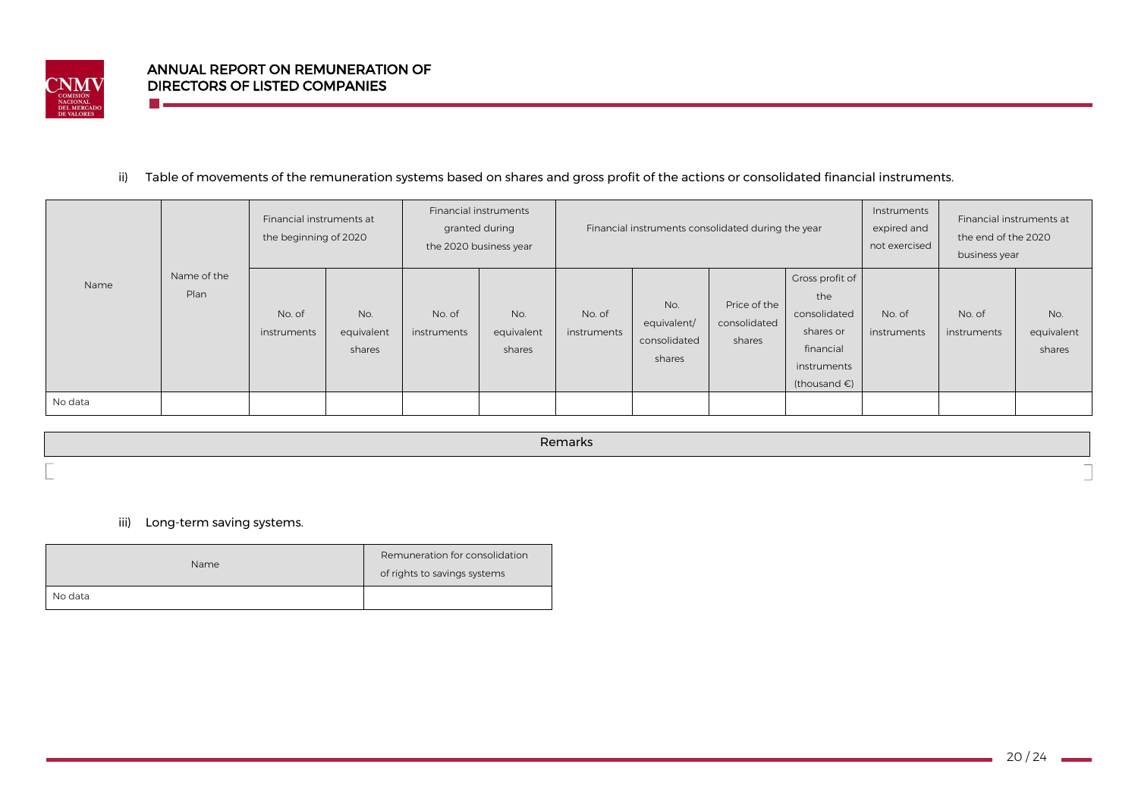

n e

## ii) Table of movements of the remuneration systems based on shares and gross profit of the actions or consolidated financial instruments.

|         |                     | Financial instruments at<br>the beginning of 2020 |                             | granted during<br>the 2020 business year | Financial instruments       | Financial instruments consolidated during the year |                                              |                                        |                                                                                                           | Instruments<br>expired and<br>not exercised | Financial instruments at<br>the end of the 2020<br>business year |                             |
|---------|---------------------|---------------------------------------------------|-----------------------------|------------------------------------------|-----------------------------|----------------------------------------------------|----------------------------------------------|----------------------------------------|-----------------------------------------------------------------------------------------------------------|---------------------------------------------|------------------------------------------------------------------|-----------------------------|
| Name    | Name of the<br>Plan | No. of<br>instruments                             | No.<br>equivalent<br>shares | No. of<br>instruments                    | No.<br>equivalent<br>shares | No. of<br>instruments                              | No.<br>equivalent/<br>consolidated<br>shares | Price of the<br>consolidated<br>shares | Gross profit of<br>the<br>consolidated<br>shares or<br>financial<br>instruments<br>(thousand $\epsilon$ ) | No. of<br>instruments                       | No. of<br>instruments                                            | No.<br>equivalent<br>shares |
| No data |                     |                                                   |                             |                                          |                             |                                                    |                                              |                                        |                                                                                                           |                                             |                                                                  |                             |

Remarks

iii) Long-term saving systems.

| <b>Name</b> | Remuneration for consolidation<br>of rights to savings systems |
|-------------|----------------------------------------------------------------|
| No data     |                                                                |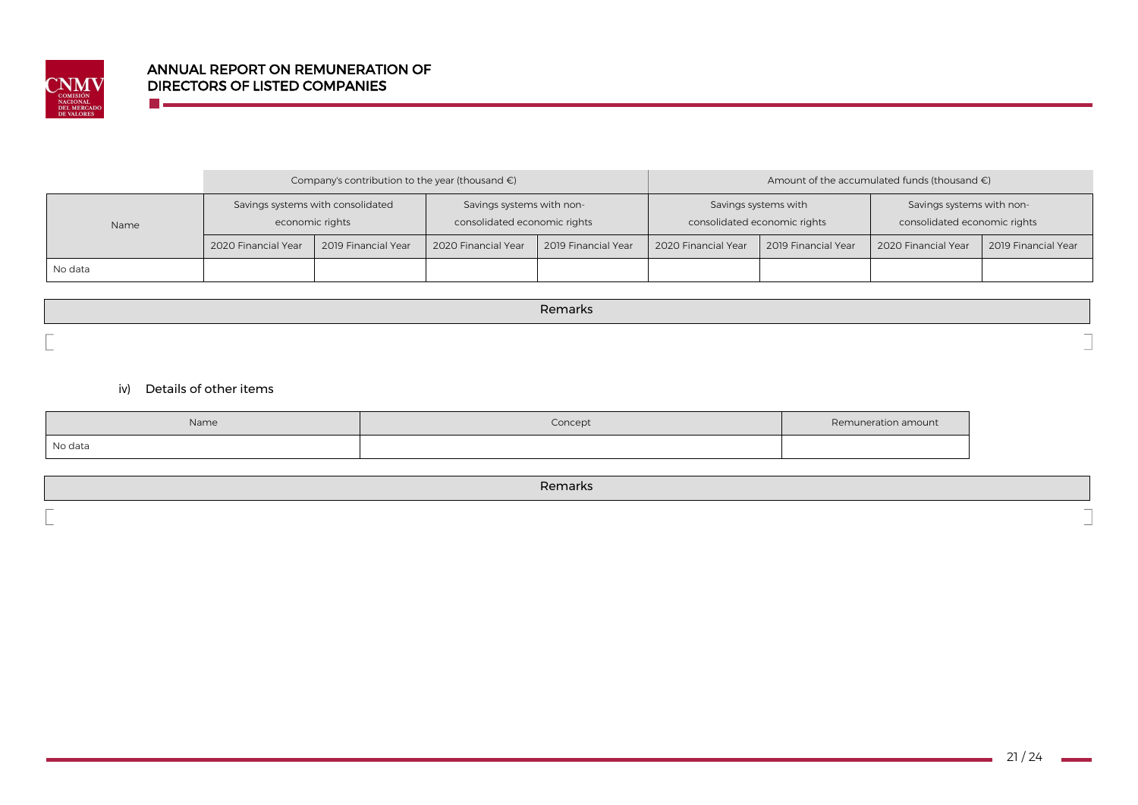

n e

|         |                                                      | Company's contribution to the year (thousand $\epsilon$ ) |                                                           |                     | Amount of the accumulated funds (thousand $\epsilon$ ) |                      |                                                           |                     |  |
|---------|------------------------------------------------------|-----------------------------------------------------------|-----------------------------------------------------------|---------------------|--------------------------------------------------------|----------------------|-----------------------------------------------------------|---------------------|--|
| Name    | Savings systems with consolidated<br>economic rights |                                                           | Savings systems with non-<br>consolidated economic rights |                     | consolidated economic rights                           | Savings systems with | Savings systems with non-<br>consolidated economic rights |                     |  |
|         | 2020 Financial Year                                  | 2019 Financial Year                                       | 2020 Financial Year                                       | 2019 Financial Year | 2020 Financial Year                                    | 2019 Financial Year  | 2020 Financial Year                                       | 2019 Financial Year |  |
| No data |                                                      |                                                           |                                                           |                     |                                                        |                      |                                                           |                     |  |

Remarks

iv) Details of other items

| Name    | Concept | Remuneration amount |
|---------|---------|---------------------|
| No data |         |                     |

|        | . |
|--------|---|
| $\sim$ |   |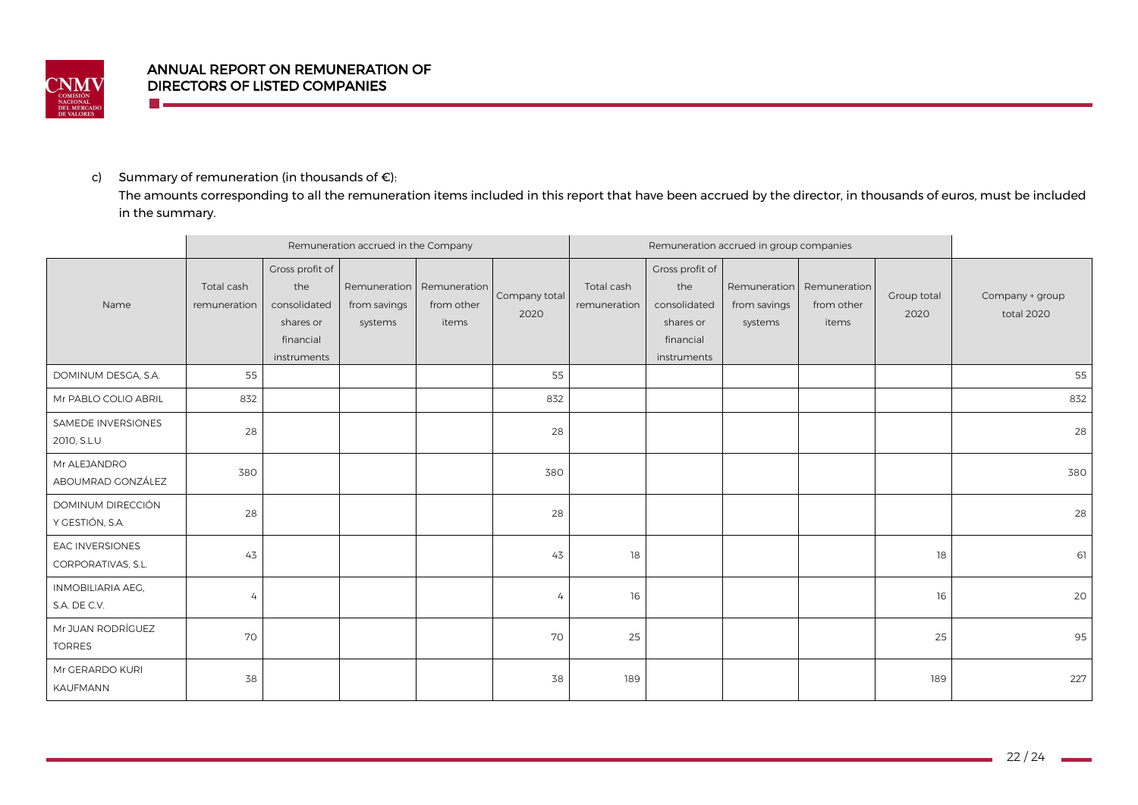

## c) Summary of remuneration (in thousands of  $\epsilon$ ):

The amounts corresponding to all the remuneration items included in this report that have been accrued by the director, in thousands of euros, must be included in the summary.

|                                              | Remuneration accrued in the Company |                                                                                 |                         |                                                  |                       | Remuneration accrued in group companies |                                                                                 |                         |                                                  |                     |                               |
|----------------------------------------------|-------------------------------------|---------------------------------------------------------------------------------|-------------------------|--------------------------------------------------|-----------------------|-----------------------------------------|---------------------------------------------------------------------------------|-------------------------|--------------------------------------------------|---------------------|-------------------------------|
| Name                                         | Total cash<br>remuneration          | Gross profit of<br>the<br>consolidated<br>shares or<br>financial<br>instruments | from savings<br>systems | Remuneration Remuneration<br>from other<br>items | Company total<br>2020 | Total cash<br>remuneration              | Gross profit of<br>the<br>consolidated<br>shares or<br>financial<br>instruments | from savings<br>systems | Remuneration Remuneration<br>from other<br>items | Group total<br>2020 | Company + group<br>total 2020 |
| DOMINUM DESGA, S.A.                          | 55                                  |                                                                                 |                         |                                                  | 55                    |                                         |                                                                                 |                         |                                                  |                     | 55                            |
| Mr PABLO COLIO ABRIL                         | 832                                 |                                                                                 |                         |                                                  | 832                   |                                         |                                                                                 |                         |                                                  |                     | 832                           |
| SAMEDE INVERSIONES<br>2010, S.L.U            | 28                                  |                                                                                 |                         |                                                  | 28                    |                                         |                                                                                 |                         |                                                  |                     | 28                            |
| Mr ALEJANDRO<br>ABOUMRAD GONZÁLEZ            | 380                                 |                                                                                 |                         |                                                  | 380                   |                                         |                                                                                 |                         |                                                  |                     | 380                           |
| DOMINUM DIRECCIÓN<br>Y GESTIÓN, S.A.         | 28                                  |                                                                                 |                         |                                                  | 28                    |                                         |                                                                                 |                         |                                                  |                     | 28                            |
| <b>EAC INVERSIONES</b><br>CORPORATIVAS, S.L. | 43                                  |                                                                                 |                         |                                                  | 43                    | 18                                      |                                                                                 |                         |                                                  | 18                  | 61                            |
| INMOBILIARIA AEG.<br>S.A. DE C.V.            | $\overline{4}$                      |                                                                                 |                         |                                                  | 4                     | 16                                      |                                                                                 |                         |                                                  | 16                  | 20 <sup>1</sup>               |
| Mr JUAN RODRÍGUEZ<br><b>TORRES</b>           | 70                                  |                                                                                 |                         |                                                  | 70                    | 25                                      |                                                                                 |                         |                                                  | 25                  | 95                            |
| Mr GERARDO KURI<br>KAUFMANN                  | 38                                  |                                                                                 |                         |                                                  | 38                    | 189                                     |                                                                                 |                         |                                                  | 189                 | 227                           |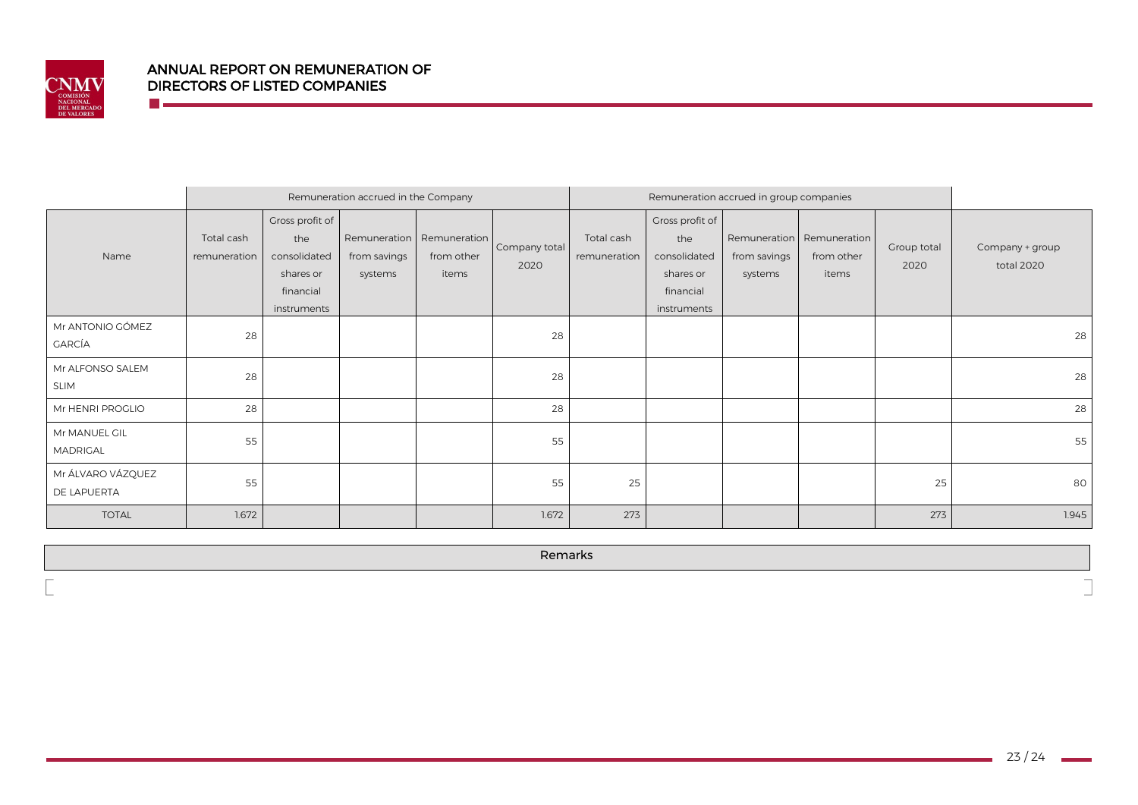

**The Co** 

|                                   |                            |                                                                                 | Remuneration accrued in the Company     |                                     |                       | Remuneration accrued in group companies |                                                                                 |                         |                                                  |                     |                               |
|-----------------------------------|----------------------------|---------------------------------------------------------------------------------|-----------------------------------------|-------------------------------------|-----------------------|-----------------------------------------|---------------------------------------------------------------------------------|-------------------------|--------------------------------------------------|---------------------|-------------------------------|
| Name                              | Total cash<br>remuneration | Gross profit of<br>the<br>consolidated<br>shares or<br>financial<br>instruments | Remuneration<br>from savings<br>systems | Remuneration<br>from other<br>items | Company total<br>2020 | Total cash<br>remuneration              | Gross profit of<br>the<br>consolidated<br>shares or<br>financial<br>instruments | from savings<br>systems | Remuneration Remuneration<br>from other<br>items | Group total<br>2020 | Company + group<br>total 2020 |
| Mr ANTONIO GÓMEZ<br><b>GARCÍA</b> | 28                         |                                                                                 |                                         |                                     | 28                    |                                         |                                                                                 |                         |                                                  |                     | 28                            |
| Mr ALFONSO SALEM<br><b>SLIM</b>   | 28                         |                                                                                 |                                         |                                     | 28                    |                                         |                                                                                 |                         |                                                  |                     | 28                            |
| Mr HENRI PROGLIO                  | 28                         |                                                                                 |                                         |                                     | 28                    |                                         |                                                                                 |                         |                                                  |                     | 28                            |
| Mr MANUEL GIL<br>MADRIGAL         | 55                         |                                                                                 |                                         |                                     | 55                    |                                         |                                                                                 |                         |                                                  |                     | 55                            |
| Mr ÁLVARO VÁZQUEZ<br>DE LAPUERTA  | 55                         |                                                                                 |                                         |                                     | 55                    | 25                                      |                                                                                 |                         |                                                  | 25                  | 80                            |
| <b>TOTAL</b>                      | 1.672                      |                                                                                 |                                         |                                     | 1.672                 | 273                                     |                                                                                 |                         |                                                  | 273                 | 1.945                         |

Remarks

 $\overline{\phantom{0}}$